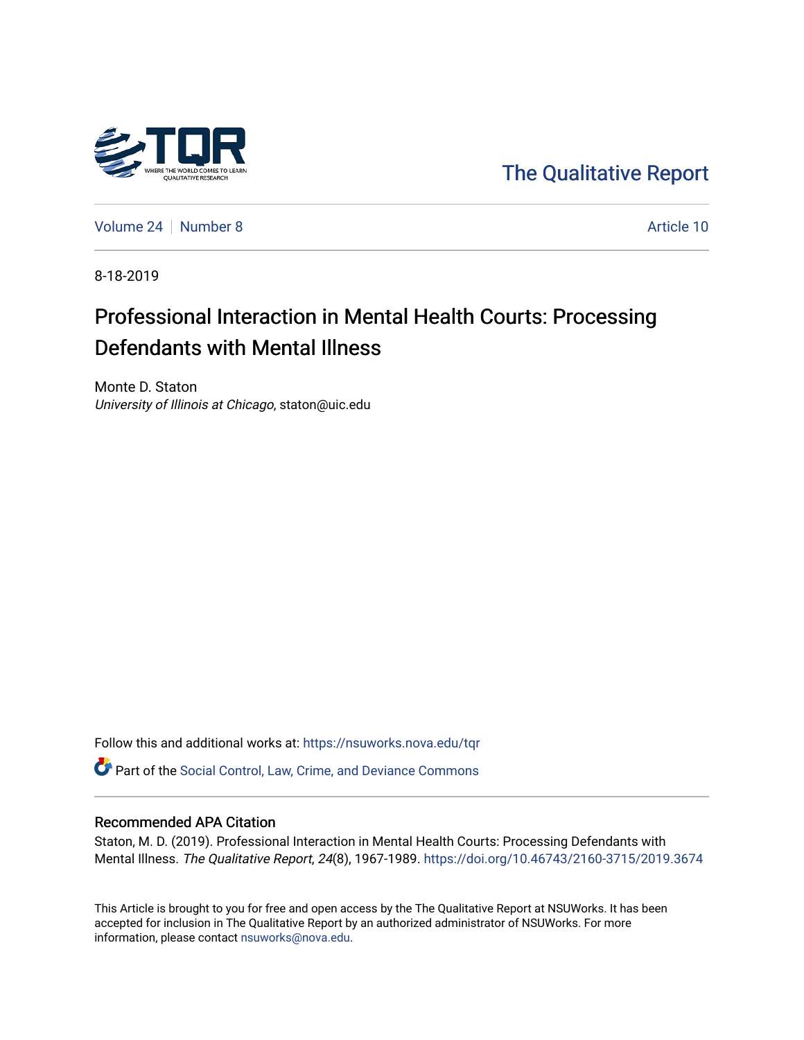

[The Qualitative Report](https://nsuworks.nova.edu/tqr) 

[Volume 24](https://nsuworks.nova.edu/tqr/vol24) [Number 8](https://nsuworks.nova.edu/tqr/vol24/iss8) Article 10

8-18-2019

## Professional Interaction in Mental Health Courts: Processing Defendants with Mental Illness

Monte D. Staton University of Illinois at Chicago, staton@uic.edu

Follow this and additional works at: [https://nsuworks.nova.edu/tqr](https://nsuworks.nova.edu/tqr?utm_source=nsuworks.nova.edu%2Ftqr%2Fvol24%2Fiss8%2F10&utm_medium=PDF&utm_campaign=PDFCoverPages) 

Part of the [Social Control, Law, Crime, and Deviance Commons](http://network.bepress.com/hgg/discipline/429?utm_source=nsuworks.nova.edu%2Ftqr%2Fvol24%2Fiss8%2F10&utm_medium=PDF&utm_campaign=PDFCoverPages) 

#### Recommended APA Citation

Staton, M. D. (2019). Professional Interaction in Mental Health Courts: Processing Defendants with Mental Illness. The Qualitative Report, 24(8), 1967-1989. <https://doi.org/10.46743/2160-3715/2019.3674>

This Article is brought to you for free and open access by the The Qualitative Report at NSUWorks. It has been accepted for inclusion in The Qualitative Report by an authorized administrator of NSUWorks. For more information, please contact [nsuworks@nova.edu.](mailto:nsuworks@nova.edu)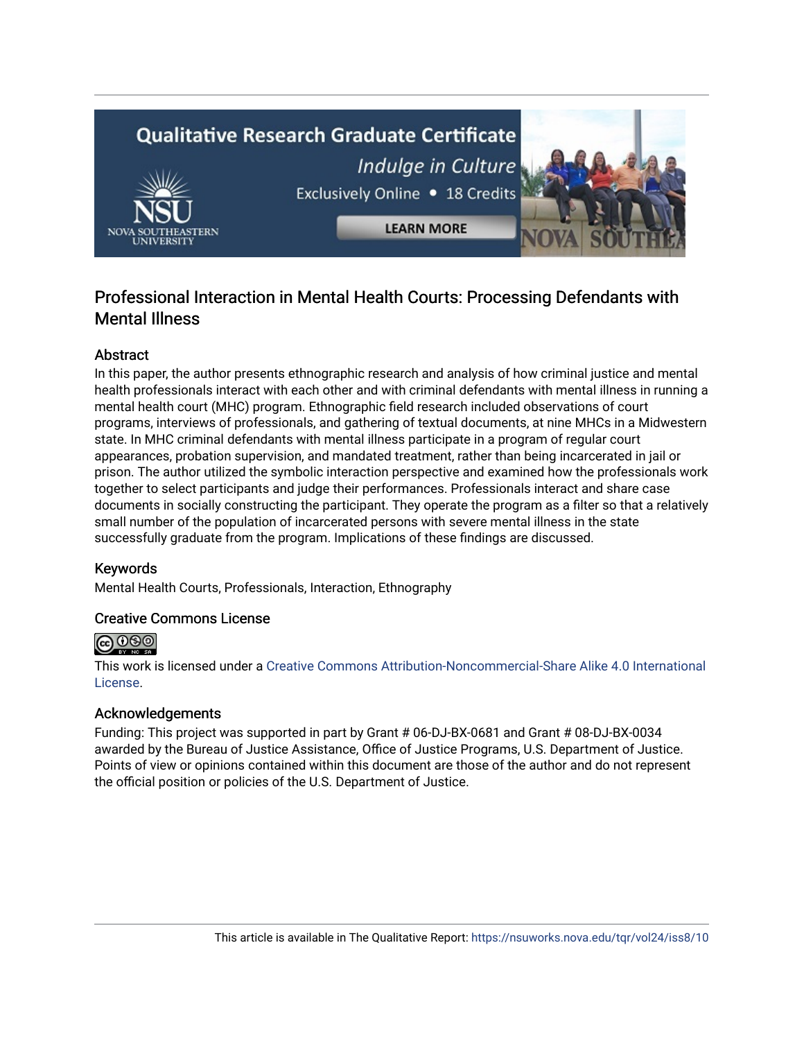# **Qualitative Research Graduate Certificate** Indulge in Culture Exclusively Online . 18 Credits **LEARN MORE**

### Professional Interaction in Mental Health Courts: Processing Defendants with Mental Illness

#### Abstract

In this paper, the author presents ethnographic research and analysis of how criminal justice and mental health professionals interact with each other and with criminal defendants with mental illness in running a mental health court (MHC) program. Ethnographic field research included observations of court programs, interviews of professionals, and gathering of textual documents, at nine MHCs in a Midwestern state. In MHC criminal defendants with mental illness participate in a program of regular court appearances, probation supervision, and mandated treatment, rather than being incarcerated in jail or prison. The author utilized the symbolic interaction perspective and examined how the professionals work together to select participants and judge their performances. Professionals interact and share case documents in socially constructing the participant. They operate the program as a filter so that a relatively small number of the population of incarcerated persons with severe mental illness in the state successfully graduate from the program. Implications of these findings are discussed.

#### Keywords

Mental Health Courts, Professionals, Interaction, Ethnography

#### Creative Commons License



This work is licensed under a [Creative Commons Attribution-Noncommercial-Share Alike 4.0 International](https://creativecommons.org/licenses/by-nc-sa/4.0/)  [License](https://creativecommons.org/licenses/by-nc-sa/4.0/).

#### Acknowledgements

Funding: This project was supported in part by Grant # 06-DJ-BX-0681 and Grant # 08-DJ-BX-0034 awarded by the Bureau of Justice Assistance, Office of Justice Programs, U.S. Department of Justice. Points of view or opinions contained within this document are those of the author and do not represent the official position or policies of the U.S. Department of Justice.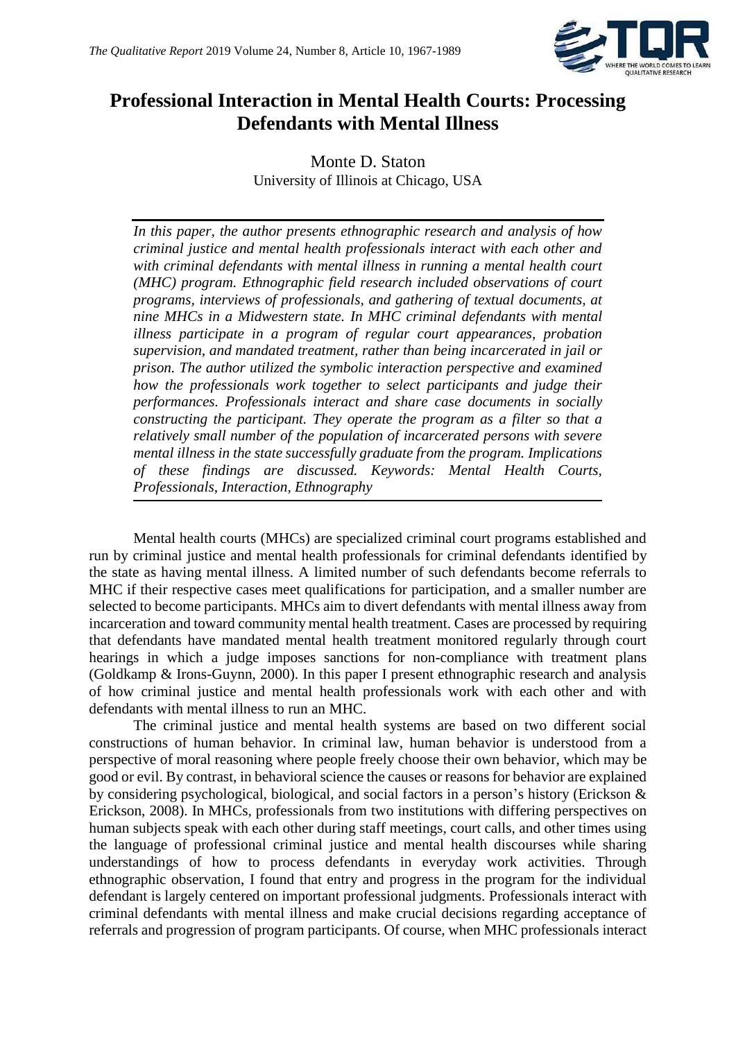

## **Professional Interaction in Mental Health Courts: Processing Defendants with Mental Illness**

Monte D. Staton University of Illinois at Chicago, USA

*In this paper, the author presents ethnographic research and analysis of how criminal justice and mental health professionals interact with each other and with criminal defendants with mental illness in running a mental health court (MHC) program. Ethnographic field research included observations of court programs, interviews of professionals, and gathering of textual documents, at nine MHCs in a Midwestern state. In MHC criminal defendants with mental illness participate in a program of regular court appearances, probation supervision, and mandated treatment, rather than being incarcerated in jail or prison. The author utilized the symbolic interaction perspective and examined how the professionals work together to select participants and judge their performances. Professionals interact and share case documents in socially constructing the participant. They operate the program as a filter so that a relatively small number of the population of incarcerated persons with severe mental illness in the state successfully graduate from the program. Implications of these findings are discussed. Keywords: Mental Health Courts, Professionals, Interaction, Ethnography*

Mental health courts (MHCs) are specialized criminal court programs established and run by criminal justice and mental health professionals for criminal defendants identified by the state as having mental illness. A limited number of such defendants become referrals to MHC if their respective cases meet qualifications for participation, and a smaller number are selected to become participants. MHCs aim to divert defendants with mental illness away from incarceration and toward community mental health treatment. Cases are processed by requiring that defendants have mandated mental health treatment monitored regularly through court hearings in which a judge imposes sanctions for non-compliance with treatment plans (Goldkamp & Irons-Guynn, 2000). In this paper I present ethnographic research and analysis of how criminal justice and mental health professionals work with each other and with defendants with mental illness to run an MHC.

The criminal justice and mental health systems are based on two different social constructions of human behavior. In criminal law, human behavior is understood from a perspective of moral reasoning where people freely choose their own behavior, which may be good or evil. By contrast, in behavioral science the causes or reasons for behavior are explained by considering psychological, biological, and social factors in a person's history (Erickson & Erickson, 2008). In MHCs, professionals from two institutions with differing perspectives on human subjects speak with each other during staff meetings, court calls, and other times using the language of professional criminal justice and mental health discourses while sharing understandings of how to process defendants in everyday work activities. Through ethnographic observation, I found that entry and progress in the program for the individual defendant is largely centered on important professional judgments. Professionals interact with criminal defendants with mental illness and make crucial decisions regarding acceptance of referrals and progression of program participants. Of course, when MHC professionals interact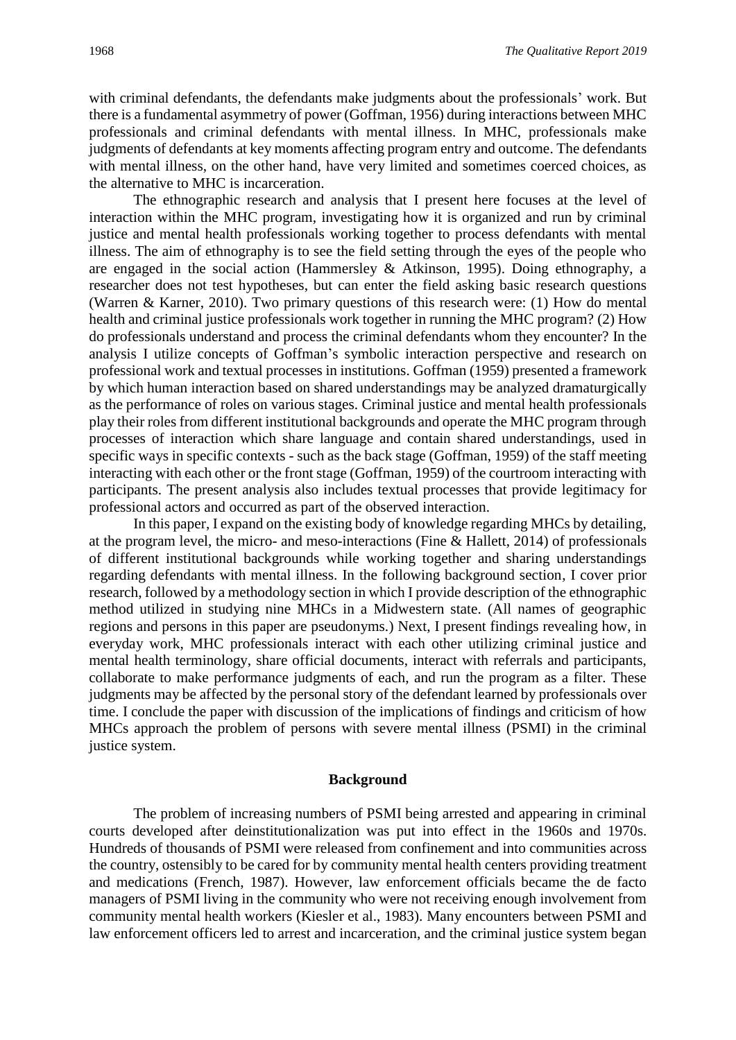with criminal defendants, the defendants make judgments about the professionals' work. But there is a fundamental asymmetry of power (Goffman, 1956) during interactions between MHC professionals and criminal defendants with mental illness. In MHC, professionals make judgments of defendants at key moments affecting program entry and outcome. The defendants with mental illness, on the other hand, have very limited and sometimes coerced choices, as the alternative to MHC is incarceration.

The ethnographic research and analysis that I present here focuses at the level of interaction within the MHC program, investigating how it is organized and run by criminal justice and mental health professionals working together to process defendants with mental illness. The aim of ethnography is to see the field setting through the eyes of the people who are engaged in the social action (Hammersley & Atkinson, 1995). Doing ethnography, a researcher does not test hypotheses, but can enter the field asking basic research questions (Warren & Karner, 2010). Two primary questions of this research were: (1) How do mental health and criminal justice professionals work together in running the MHC program? (2) How do professionals understand and process the criminal defendants whom they encounter? In the analysis I utilize concepts of Goffman's symbolic interaction perspective and research on professional work and textual processes in institutions. Goffman (1959) presented a framework by which human interaction based on shared understandings may be analyzed dramaturgically as the performance of roles on various stages. Criminal justice and mental health professionals play their roles from different institutional backgrounds and operate the MHC program through processes of interaction which share language and contain shared understandings, used in specific ways in specific contexts - such as the back stage (Goffman, 1959) of the staff meeting interacting with each other or the front stage (Goffman, 1959) of the courtroom interacting with participants. The present analysis also includes textual processes that provide legitimacy for professional actors and occurred as part of the observed interaction.

In this paper, I expand on the existing body of knowledge regarding MHCs by detailing, at the program level, the micro- and meso-interactions (Fine & Hallett, 2014) of professionals of different institutional backgrounds while working together and sharing understandings regarding defendants with mental illness. In the following background section, I cover prior research, followed by a methodology section in which I provide description of the ethnographic method utilized in studying nine MHCs in a Midwestern state. (All names of geographic regions and persons in this paper are pseudonyms.) Next, I present findings revealing how, in everyday work, MHC professionals interact with each other utilizing criminal justice and mental health terminology, share official documents, interact with referrals and participants, collaborate to make performance judgments of each, and run the program as a filter. These judgments may be affected by the personal story of the defendant learned by professionals over time. I conclude the paper with discussion of the implications of findings and criticism of how MHCs approach the problem of persons with severe mental illness (PSMI) in the criminal justice system.

#### **Background**

The problem of increasing numbers of PSMI being arrested and appearing in criminal courts developed after deinstitutionalization was put into effect in the 1960s and 1970s. Hundreds of thousands of PSMI were released from confinement and into communities across the country, ostensibly to be cared for by community mental health centers providing treatment and medications (French, 1987). However, law enforcement officials became the de facto managers of PSMI living in the community who were not receiving enough involvement from community mental health workers (Kiesler et al., 1983). Many encounters between PSMI and law enforcement officers led to arrest and incarceration, and the criminal justice system began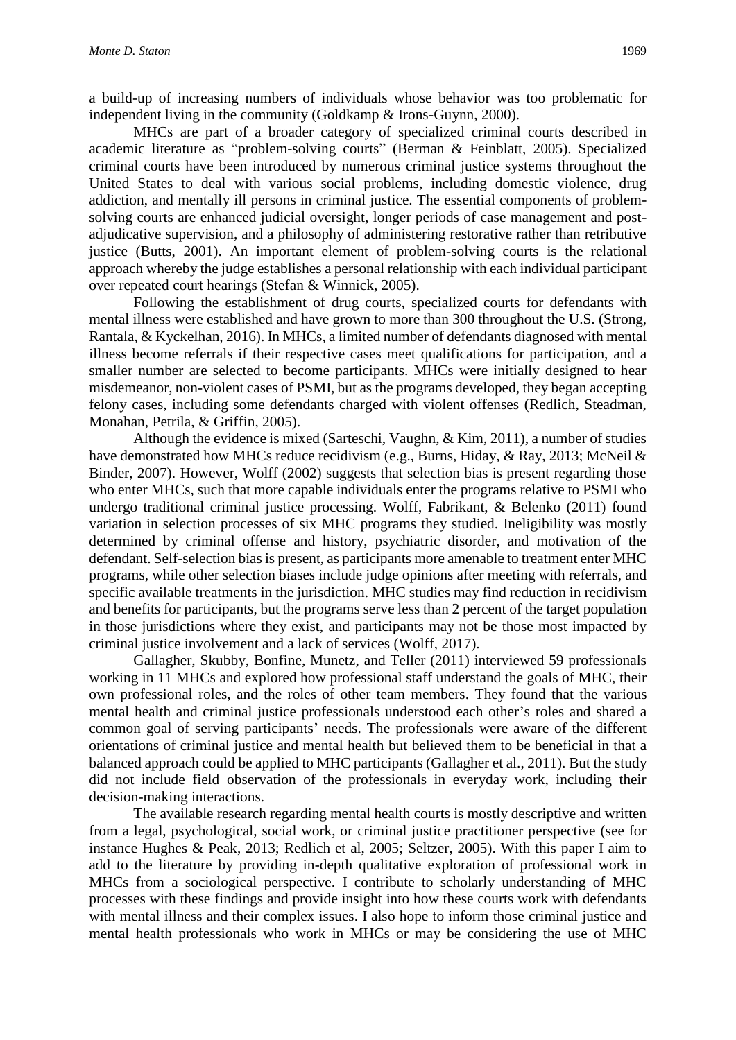a build-up of increasing numbers of individuals whose behavior was too problematic for independent living in the community (Goldkamp & Irons-Guynn, 2000).

MHCs are part of a broader category of specialized criminal courts described in academic literature as "problem-solving courts" (Berman & Feinblatt, 2005). Specialized criminal courts have been introduced by numerous criminal justice systems throughout the United States to deal with various social problems, including domestic violence, drug addiction, and mentally ill persons in criminal justice. The essential components of problemsolving courts are enhanced judicial oversight, longer periods of case management and postadjudicative supervision, and a philosophy of administering restorative rather than retributive justice (Butts, 2001). An important element of problem-solving courts is the relational approach whereby the judge establishes a personal relationship with each individual participant over repeated court hearings (Stefan & Winnick, 2005).

Following the establishment of drug courts, specialized courts for defendants with mental illness were established and have grown to more than 300 throughout the U.S. (Strong, Rantala, & Kyckelhan, 2016). In MHCs, a limited number of defendants diagnosed with mental illness become referrals if their respective cases meet qualifications for participation, and a smaller number are selected to become participants. MHCs were initially designed to hear misdemeanor, non-violent cases of PSMI, but as the programs developed, they began accepting felony cases, including some defendants charged with violent offenses (Redlich, Steadman, Monahan, Petrila, & Griffin, 2005).

Although the evidence is mixed (Sarteschi, Vaughn, & Kim, 2011), a number of studies have demonstrated how MHCs reduce recidivism (e.g., Burns, Hiday, & Ray, 2013; McNeil & Binder, 2007). However, Wolff (2002) suggests that selection bias is present regarding those who enter MHCs, such that more capable individuals enter the programs relative to PSMI who undergo traditional criminal justice processing. Wolff, Fabrikant, & Belenko (2011) found variation in selection processes of six MHC programs they studied. Ineligibility was mostly determined by criminal offense and history, psychiatric disorder, and motivation of the defendant. Self-selection bias is present, as participants more amenable to treatment enter MHC programs, while other selection biases include judge opinions after meeting with referrals, and specific available treatments in the jurisdiction. MHC studies may find reduction in recidivism and benefits for participants, but the programs serve less than 2 percent of the target population in those jurisdictions where they exist, and participants may not be those most impacted by criminal justice involvement and a lack of services (Wolff, 2017).

Gallagher, Skubby, Bonfine, Munetz, and Teller (2011) interviewed 59 professionals working in 11 MHCs and explored how professional staff understand the goals of MHC, their own professional roles, and the roles of other team members. They found that the various mental health and criminal justice professionals understood each other's roles and shared a common goal of serving participants' needs. The professionals were aware of the different orientations of criminal justice and mental health but believed them to be beneficial in that a balanced approach could be applied to MHC participants (Gallagher et al., 2011). But the study did not include field observation of the professionals in everyday work, including their decision-making interactions.

The available research regarding mental health courts is mostly descriptive and written from a legal, psychological, social work, or criminal justice practitioner perspective (see for instance Hughes & Peak, 2013; Redlich et al, 2005; Seltzer, 2005). With this paper I aim to add to the literature by providing in-depth qualitative exploration of professional work in MHCs from a sociological perspective. I contribute to scholarly understanding of MHC processes with these findings and provide insight into how these courts work with defendants with mental illness and their complex issues. I also hope to inform those criminal justice and mental health professionals who work in MHCs or may be considering the use of MHC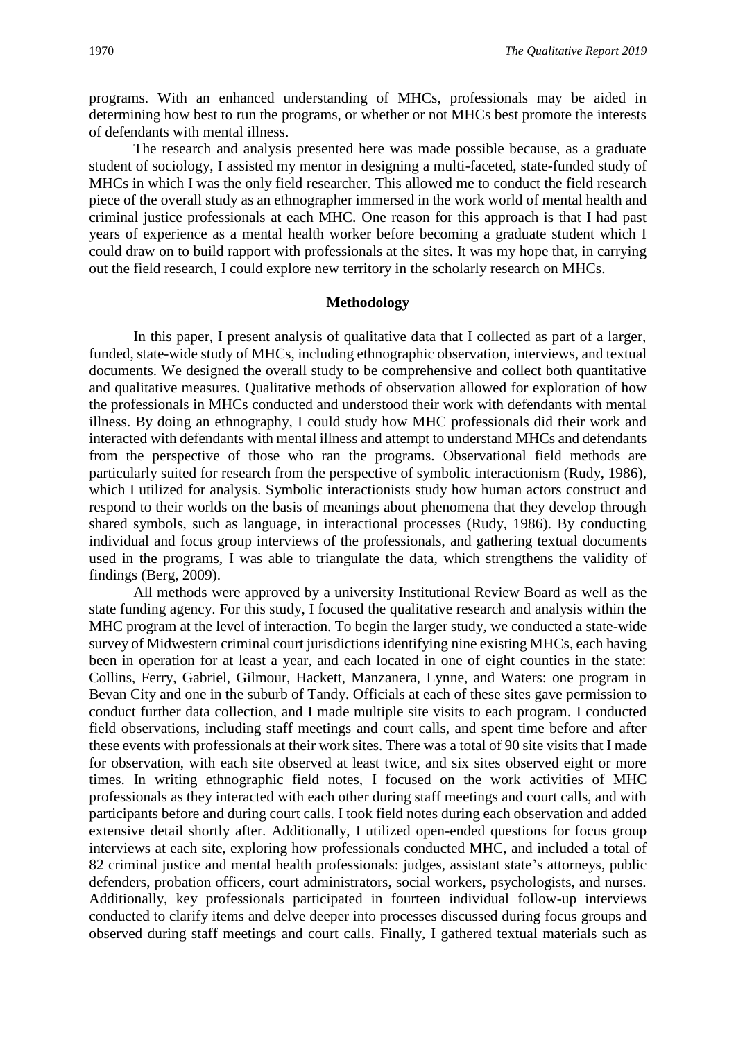programs. With an enhanced understanding of MHCs, professionals may be aided in determining how best to run the programs, or whether or not MHCs best promote the interests of defendants with mental illness.

The research and analysis presented here was made possible because, as a graduate student of sociology, I assisted my mentor in designing a multi-faceted, state-funded study of MHCs in which I was the only field researcher. This allowed me to conduct the field research piece of the overall study as an ethnographer immersed in the work world of mental health and criminal justice professionals at each MHC. One reason for this approach is that I had past years of experience as a mental health worker before becoming a graduate student which I could draw on to build rapport with professionals at the sites. It was my hope that, in carrying out the field research, I could explore new territory in the scholarly research on MHCs.

#### **Methodology**

In this paper, I present analysis of qualitative data that I collected as part of a larger, funded, state-wide study of MHCs, including ethnographic observation, interviews, and textual documents. We designed the overall study to be comprehensive and collect both quantitative and qualitative measures. Qualitative methods of observation allowed for exploration of how the professionals in MHCs conducted and understood their work with defendants with mental illness. By doing an ethnography, I could study how MHC professionals did their work and interacted with defendants with mental illness and attempt to understand MHCs and defendants from the perspective of those who ran the programs. Observational field methods are particularly suited for research from the perspective of symbolic interactionism (Rudy, 1986), which I utilized for analysis. Symbolic interactionists study how human actors construct and respond to their worlds on the basis of meanings about phenomena that they develop through shared symbols, such as language, in interactional processes (Rudy, 1986). By conducting individual and focus group interviews of the professionals, and gathering textual documents used in the programs, I was able to triangulate the data, which strengthens the validity of findings (Berg, 2009).

All methods were approved by a university Institutional Review Board as well as the state funding agency. For this study, I focused the qualitative research and analysis within the MHC program at the level of interaction. To begin the larger study, we conducted a state-wide survey of Midwestern criminal court jurisdictions identifying nine existing MHCs, each having been in operation for at least a year, and each located in one of eight counties in the state: Collins, Ferry, Gabriel, Gilmour, Hackett, Manzanera, Lynne, and Waters: one program in Bevan City and one in the suburb of Tandy. Officials at each of these sites gave permission to conduct further data collection, and I made multiple site visits to each program. I conducted field observations, including staff meetings and court calls, and spent time before and after these events with professionals at their work sites. There was a total of 90 site visits that I made for observation, with each site observed at least twice, and six sites observed eight or more times. In writing ethnographic field notes, I focused on the work activities of MHC professionals as they interacted with each other during staff meetings and court calls, and with participants before and during court calls. I took field notes during each observation and added extensive detail shortly after. Additionally, I utilized open-ended questions for focus group interviews at each site, exploring how professionals conducted MHC, and included a total of 82 criminal justice and mental health professionals: judges, assistant state's attorneys, public defenders, probation officers, court administrators, social workers, psychologists, and nurses. Additionally, key professionals participated in fourteen individual follow-up interviews conducted to clarify items and delve deeper into processes discussed during focus groups and observed during staff meetings and court calls. Finally, I gathered textual materials such as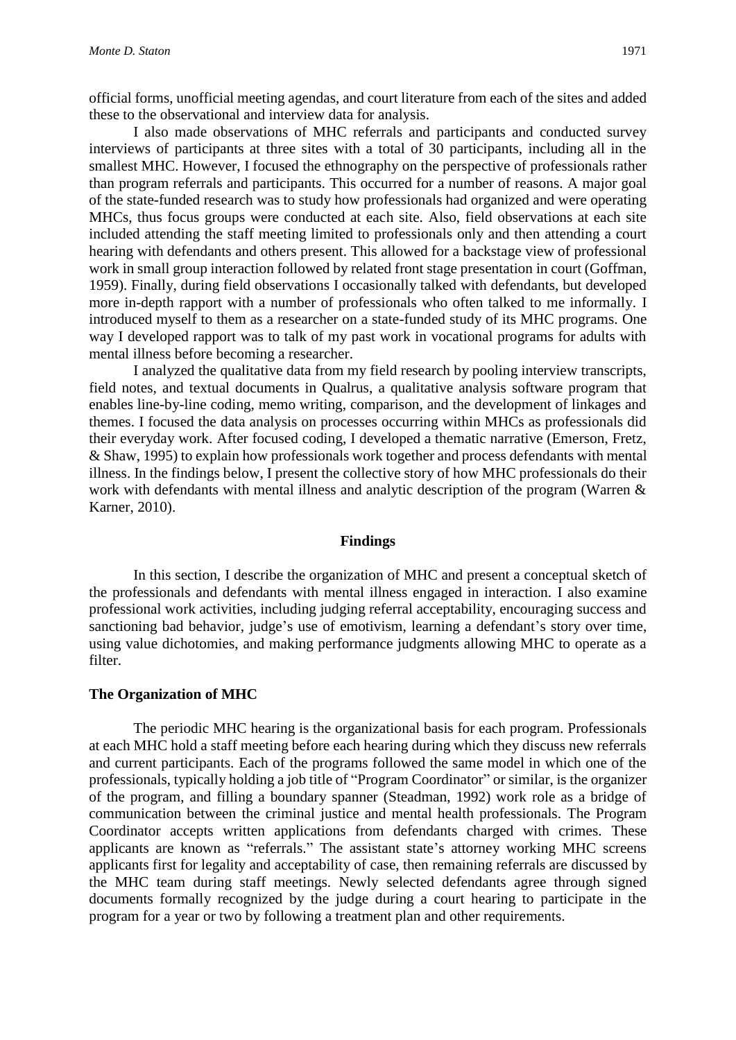official forms, unofficial meeting agendas, and court literature from each of the sites and added these to the observational and interview data for analysis.

I also made observations of MHC referrals and participants and conducted survey interviews of participants at three sites with a total of 30 participants, including all in the smallest MHC. However, I focused the ethnography on the perspective of professionals rather than program referrals and participants. This occurred for a number of reasons. A major goal of the state-funded research was to study how professionals had organized and were operating MHCs, thus focus groups were conducted at each site. Also, field observations at each site included attending the staff meeting limited to professionals only and then attending a court hearing with defendants and others present. This allowed for a backstage view of professional work in small group interaction followed by related front stage presentation in court (Goffman, 1959). Finally, during field observations I occasionally talked with defendants, but developed more in-depth rapport with a number of professionals who often talked to me informally. I introduced myself to them as a researcher on a state-funded study of its MHC programs. One way I developed rapport was to talk of my past work in vocational programs for adults with mental illness before becoming a researcher.

I analyzed the qualitative data from my field research by pooling interview transcripts, field notes, and textual documents in Qualrus, a qualitative analysis software program that enables line-by-line coding, memo writing, comparison, and the development of linkages and themes. I focused the data analysis on processes occurring within MHCs as professionals did their everyday work. After focused coding, I developed a thematic narrative (Emerson, Fretz, & Shaw, 1995) to explain how professionals work together and process defendants with mental illness. In the findings below, I present the collective story of how MHC professionals do their work with defendants with mental illness and analytic description of the program (Warren & Karner, 2010).

#### **Findings**

In this section, I describe the organization of MHC and present a conceptual sketch of the professionals and defendants with mental illness engaged in interaction. I also examine professional work activities, including judging referral acceptability, encouraging success and sanctioning bad behavior, judge's use of emotivism, learning a defendant's story over time, using value dichotomies, and making performance judgments allowing MHC to operate as a filter.

#### **The Organization of MHC**

The periodic MHC hearing is the organizational basis for each program. Professionals at each MHC hold a staff meeting before each hearing during which they discuss new referrals and current participants. Each of the programs followed the same model in which one of the professionals, typically holding a job title of "Program Coordinator" or similar, is the organizer of the program, and filling a boundary spanner (Steadman, 1992) work role as a bridge of communication between the criminal justice and mental health professionals. The Program Coordinator accepts written applications from defendants charged with crimes. These applicants are known as "referrals." The assistant state's attorney working MHC screens applicants first for legality and acceptability of case, then remaining referrals are discussed by the MHC team during staff meetings. Newly selected defendants agree through signed documents formally recognized by the judge during a court hearing to participate in the program for a year or two by following a treatment plan and other requirements.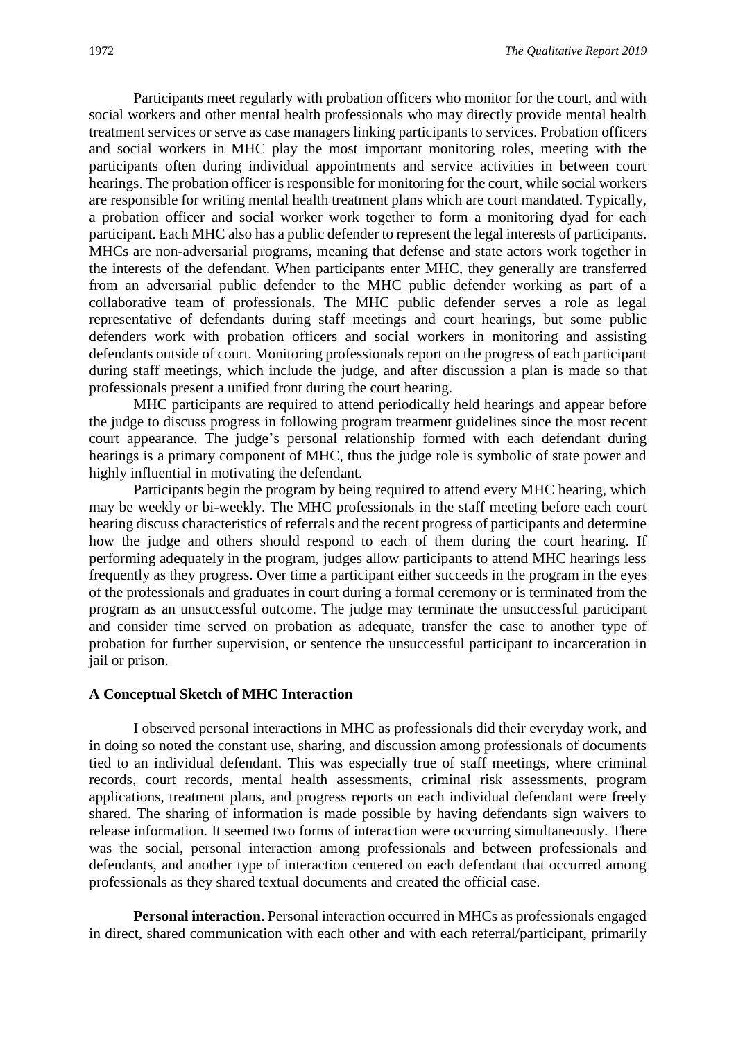Participants meet regularly with probation officers who monitor for the court, and with social workers and other mental health professionals who may directly provide mental health treatment services or serve as case managers linking participants to services. Probation officers and social workers in MHC play the most important monitoring roles, meeting with the participants often during individual appointments and service activities in between court hearings. The probation officer is responsible for monitoring for the court, while social workers are responsible for writing mental health treatment plans which are court mandated. Typically, a probation officer and social worker work together to form a monitoring dyad for each participant. Each MHC also has a public defender to represent the legal interests of participants. MHCs are non-adversarial programs, meaning that defense and state actors work together in the interests of the defendant. When participants enter MHC, they generally are transferred from an adversarial public defender to the MHC public defender working as part of a collaborative team of professionals. The MHC public defender serves a role as legal representative of defendants during staff meetings and court hearings, but some public defenders work with probation officers and social workers in monitoring and assisting defendants outside of court. Monitoring professionals report on the progress of each participant during staff meetings, which include the judge, and after discussion a plan is made so that professionals present a unified front during the court hearing.

MHC participants are required to attend periodically held hearings and appear before the judge to discuss progress in following program treatment guidelines since the most recent court appearance. The judge's personal relationship formed with each defendant during hearings is a primary component of MHC, thus the judge role is symbolic of state power and highly influential in motivating the defendant.

Participants begin the program by being required to attend every MHC hearing, which may be weekly or bi-weekly. The MHC professionals in the staff meeting before each court hearing discuss characteristics of referrals and the recent progress of participants and determine how the judge and others should respond to each of them during the court hearing. If performing adequately in the program, judges allow participants to attend MHC hearings less frequently as they progress. Over time a participant either succeeds in the program in the eyes of the professionals and graduates in court during a formal ceremony or is terminated from the program as an unsuccessful outcome. The judge may terminate the unsuccessful participant and consider time served on probation as adequate, transfer the case to another type of probation for further supervision, or sentence the unsuccessful participant to incarceration in jail or prison.

#### **A Conceptual Sketch of MHC Interaction**

I observed personal interactions in MHC as professionals did their everyday work, and in doing so noted the constant use, sharing, and discussion among professionals of documents tied to an individual defendant. This was especially true of staff meetings, where criminal records, court records, mental health assessments, criminal risk assessments, program applications, treatment plans, and progress reports on each individual defendant were freely shared. The sharing of information is made possible by having defendants sign waivers to release information. It seemed two forms of interaction were occurring simultaneously. There was the social, personal interaction among professionals and between professionals and defendants, and another type of interaction centered on each defendant that occurred among professionals as they shared textual documents and created the official case.

**Personal interaction.** Personal interaction occurred in MHCs as professionals engaged in direct, shared communication with each other and with each referral/participant, primarily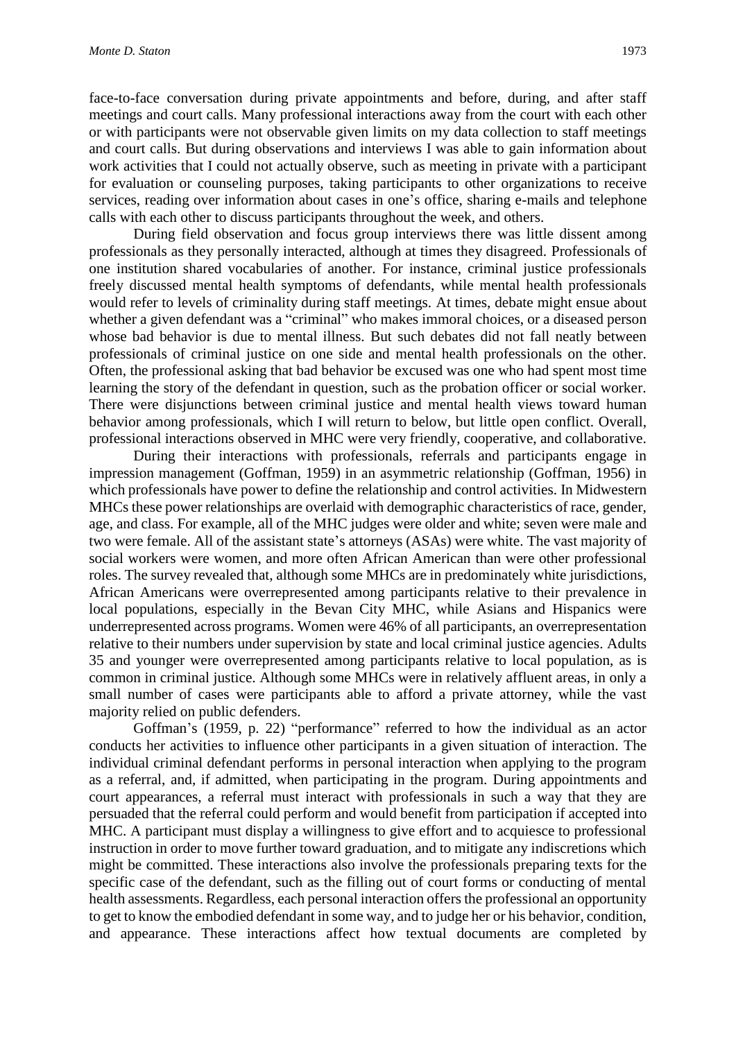face-to-face conversation during private appointments and before, during, and after staff meetings and court calls. Many professional interactions away from the court with each other or with participants were not observable given limits on my data collection to staff meetings and court calls. But during observations and interviews I was able to gain information about work activities that I could not actually observe, such as meeting in private with a participant for evaluation or counseling purposes, taking participants to other organizations to receive services, reading over information about cases in one's office, sharing e-mails and telephone calls with each other to discuss participants throughout the week, and others.

During field observation and focus group interviews there was little dissent among professionals as they personally interacted, although at times they disagreed. Professionals of one institution shared vocabularies of another. For instance, criminal justice professionals freely discussed mental health symptoms of defendants, while mental health professionals would refer to levels of criminality during staff meetings. At times, debate might ensue about whether a given defendant was a "criminal" who makes immoral choices, or a diseased person whose bad behavior is due to mental illness. But such debates did not fall neatly between professionals of criminal justice on one side and mental health professionals on the other. Often, the professional asking that bad behavior be excused was one who had spent most time learning the story of the defendant in question, such as the probation officer or social worker. There were disjunctions between criminal justice and mental health views toward human behavior among professionals, which I will return to below, but little open conflict. Overall, professional interactions observed in MHC were very friendly, cooperative, and collaborative.

During their interactions with professionals, referrals and participants engage in impression management (Goffman, 1959) in an asymmetric relationship (Goffman, 1956) in which professionals have power to define the relationship and control activities. In Midwestern MHCs these power relationships are overlaid with demographic characteristics of race, gender, age, and class. For example, all of the MHC judges were older and white; seven were male and two were female. All of the assistant state's attorneys (ASAs) were white. The vast majority of social workers were women, and more often African American than were other professional roles. The survey revealed that, although some MHCs are in predominately white jurisdictions, African Americans were overrepresented among participants relative to their prevalence in local populations, especially in the Bevan City MHC, while Asians and Hispanics were underrepresented across programs. Women were 46% of all participants, an overrepresentation relative to their numbers under supervision by state and local criminal justice agencies. Adults 35 and younger were overrepresented among participants relative to local population, as is common in criminal justice. Although some MHCs were in relatively affluent areas, in only a small number of cases were participants able to afford a private attorney, while the vast majority relied on public defenders.

Goffman's (1959, p. 22) "performance" referred to how the individual as an actor conducts her activities to influence other participants in a given situation of interaction. The individual criminal defendant performs in personal interaction when applying to the program as a referral, and, if admitted, when participating in the program. During appointments and court appearances, a referral must interact with professionals in such a way that they are persuaded that the referral could perform and would benefit from participation if accepted into MHC. A participant must display a willingness to give effort and to acquiesce to professional instruction in order to move further toward graduation, and to mitigate any indiscretions which might be committed. These interactions also involve the professionals preparing texts for the specific case of the defendant, such as the filling out of court forms or conducting of mental health assessments. Regardless, each personal interaction offers the professional an opportunity to get to know the embodied defendant in some way, and to judge her or his behavior, condition, and appearance. These interactions affect how textual documents are completed by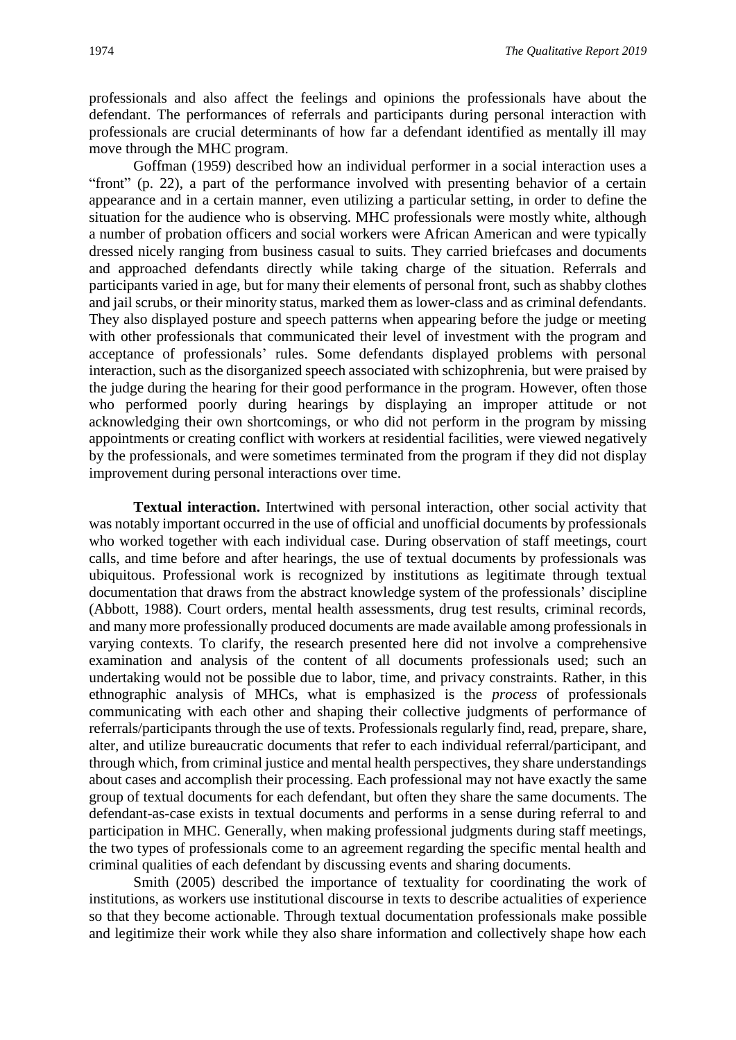professionals and also affect the feelings and opinions the professionals have about the defendant. The performances of referrals and participants during personal interaction with professionals are crucial determinants of how far a defendant identified as mentally ill may move through the MHC program.

Goffman (1959) described how an individual performer in a social interaction uses a "front" (p. 22), a part of the performance involved with presenting behavior of a certain appearance and in a certain manner, even utilizing a particular setting, in order to define the situation for the audience who is observing. MHC professionals were mostly white, although a number of probation officers and social workers were African American and were typically dressed nicely ranging from business casual to suits. They carried briefcases and documents and approached defendants directly while taking charge of the situation. Referrals and participants varied in age, but for many their elements of personal front, such as shabby clothes and jail scrubs, or their minority status, marked them as lower-class and as criminal defendants. They also displayed posture and speech patterns when appearing before the judge or meeting with other professionals that communicated their level of investment with the program and acceptance of professionals' rules. Some defendants displayed problems with personal interaction, such as the disorganized speech associated with schizophrenia, but were praised by the judge during the hearing for their good performance in the program. However, often those who performed poorly during hearings by displaying an improper attitude or not acknowledging their own shortcomings, or who did not perform in the program by missing appointments or creating conflict with workers at residential facilities, were viewed negatively by the professionals, and were sometimes terminated from the program if they did not display improvement during personal interactions over time.

**Textual interaction.** Intertwined with personal interaction, other social activity that was notably important occurred in the use of official and unofficial documents by professionals who worked together with each individual case. During observation of staff meetings, court calls, and time before and after hearings, the use of textual documents by professionals was ubiquitous. Professional work is recognized by institutions as legitimate through textual documentation that draws from the abstract knowledge system of the professionals' discipline (Abbott, 1988). Court orders, mental health assessments, drug test results, criminal records, and many more professionally produced documents are made available among professionals in varying contexts. To clarify, the research presented here did not involve a comprehensive examination and analysis of the content of all documents professionals used; such an undertaking would not be possible due to labor, time, and privacy constraints. Rather, in this ethnographic analysis of MHCs, what is emphasized is the *process* of professionals communicating with each other and shaping their collective judgments of performance of referrals/participants through the use of texts. Professionals regularly find, read, prepare, share, alter, and utilize bureaucratic documents that refer to each individual referral/participant, and through which, from criminal justice and mental health perspectives, they share understandings about cases and accomplish their processing. Each professional may not have exactly the same group of textual documents for each defendant, but often they share the same documents. The defendant-as-case exists in textual documents and performs in a sense during referral to and participation in MHC. Generally, when making professional judgments during staff meetings, the two types of professionals come to an agreement regarding the specific mental health and criminal qualities of each defendant by discussing events and sharing documents.

Smith (2005) described the importance of textuality for coordinating the work of institutions, as workers use institutional discourse in texts to describe actualities of experience so that they become actionable. Through textual documentation professionals make possible and legitimize their work while they also share information and collectively shape how each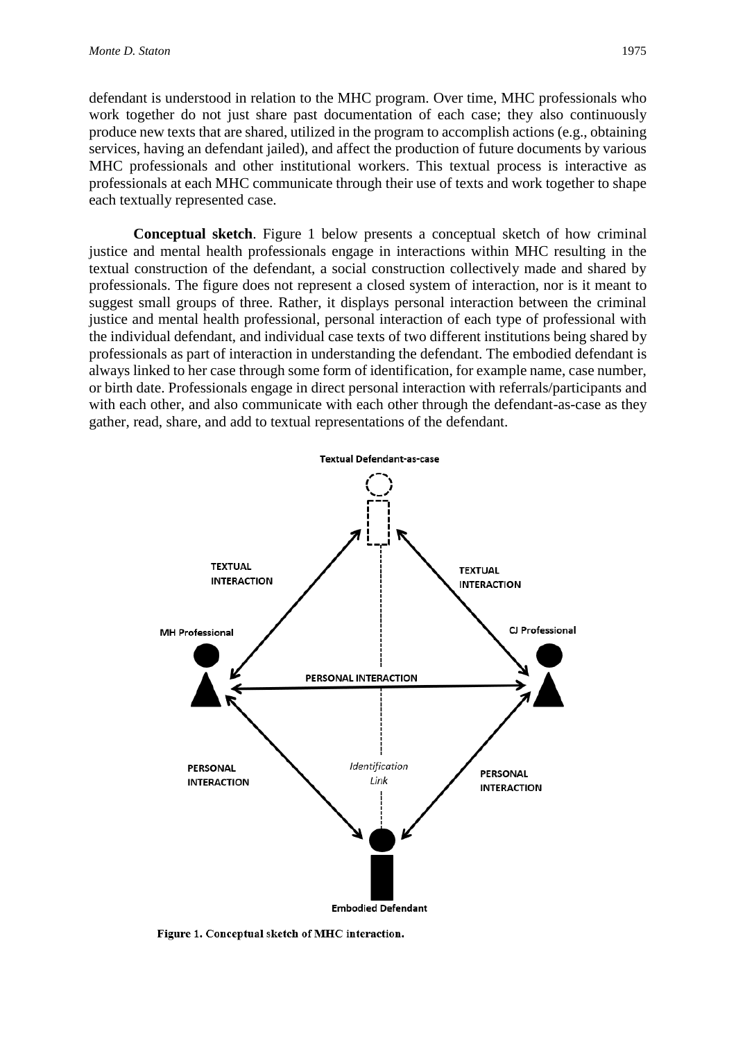defendant is understood in relation to the MHC program. Over time, MHC professionals who work together do not just share past documentation of each case; they also continuously produce new texts that are shared, utilized in the program to accomplish actions (e.g., obtaining services, having an defendant jailed), and affect the production of future documents by various MHC professionals and other institutional workers. This textual process is interactive as professionals at each MHC communicate through their use of texts and work together to shape each textually represented case.

**Conceptual sketch**. Figure 1 below presents a conceptual sketch of how criminal justice and mental health professionals engage in interactions within MHC resulting in the textual construction of the defendant, a social construction collectively made and shared by professionals. The figure does not represent a closed system of interaction, nor is it meant to suggest small groups of three. Rather, it displays personal interaction between the criminal justice and mental health professional, personal interaction of each type of professional with the individual defendant, and individual case texts of two different institutions being shared by professionals as part of interaction in understanding the defendant. The embodied defendant is always linked to her case through some form of identification, for example name, case number, or birth date. Professionals engage in direct personal interaction with referrals/participants and with each other, and also communicate with each other through the defendant-as-case as they gather, read, share, and add to textual representations of the defendant.



**Embodied Defendant** 

Figure 1. Conceptual sketch of MHC interaction.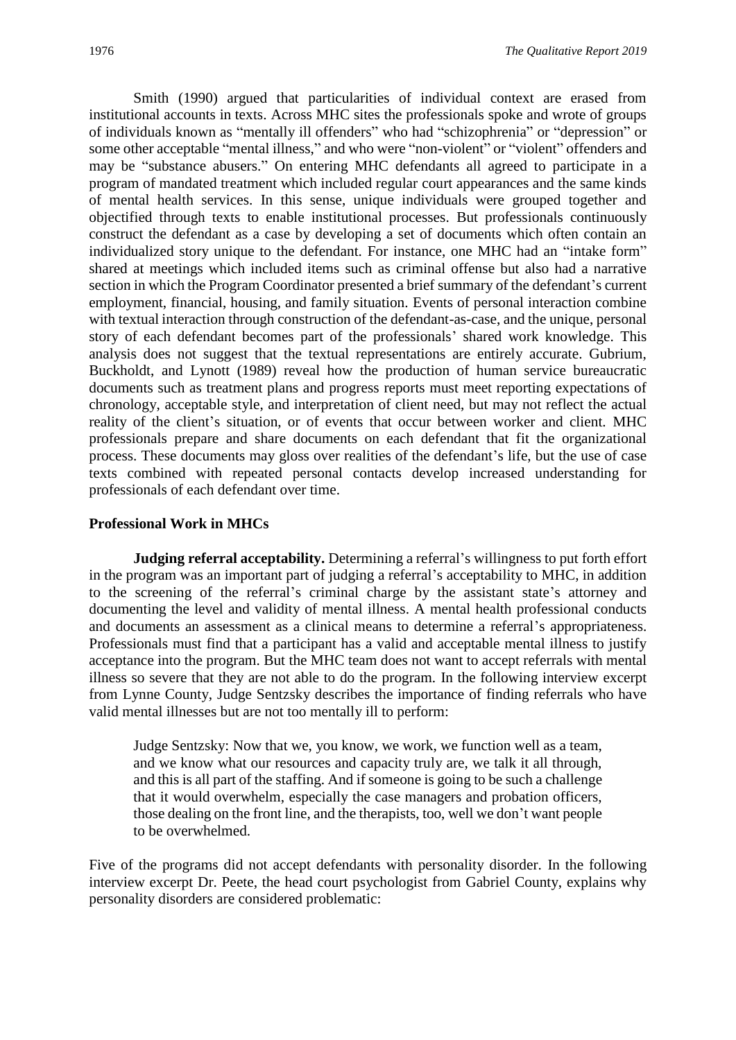Smith (1990) argued that particularities of individual context are erased from institutional accounts in texts. Across MHC sites the professionals spoke and wrote of groups of individuals known as "mentally ill offenders" who had "schizophrenia" or "depression" or some other acceptable "mental illness," and who were "non-violent" or "violent" offenders and may be "substance abusers." On entering MHC defendants all agreed to participate in a program of mandated treatment which included regular court appearances and the same kinds of mental health services. In this sense, unique individuals were grouped together and objectified through texts to enable institutional processes. But professionals continuously construct the defendant as a case by developing a set of documents which often contain an individualized story unique to the defendant. For instance, one MHC had an "intake form" shared at meetings which included items such as criminal offense but also had a narrative section in which the Program Coordinator presented a brief summary of the defendant's current employment, financial, housing, and family situation. Events of personal interaction combine with textual interaction through construction of the defendant-as-case, and the unique, personal story of each defendant becomes part of the professionals' shared work knowledge. This analysis does not suggest that the textual representations are entirely accurate. Gubrium, Buckholdt, and Lynott (1989) reveal how the production of human service bureaucratic documents such as treatment plans and progress reports must meet reporting expectations of chronology, acceptable style, and interpretation of client need, but may not reflect the actual reality of the client's situation, or of events that occur between worker and client. MHC professionals prepare and share documents on each defendant that fit the organizational process. These documents may gloss over realities of the defendant's life, but the use of case texts combined with repeated personal contacts develop increased understanding for professionals of each defendant over time.

#### **Professional Work in MHCs**

**Judging referral acceptability.** Determining a referral's willingness to put forth effort in the program was an important part of judging a referral's acceptability to MHC, in addition to the screening of the referral's criminal charge by the assistant state's attorney and documenting the level and validity of mental illness. A mental health professional conducts and documents an assessment as a clinical means to determine a referral's appropriateness. Professionals must find that a participant has a valid and acceptable mental illness to justify acceptance into the program. But the MHC team does not want to accept referrals with mental illness so severe that they are not able to do the program. In the following interview excerpt from Lynne County, Judge Sentzsky describes the importance of finding referrals who have valid mental illnesses but are not too mentally ill to perform:

Judge Sentzsky: Now that we, you know, we work, we function well as a team, and we know what our resources and capacity truly are, we talk it all through, and this is all part of the staffing. And if someone is going to be such a challenge that it would overwhelm, especially the case managers and probation officers, those dealing on the front line, and the therapists, too, well we don't want people to be overwhelmed.

Five of the programs did not accept defendants with personality disorder. In the following interview excerpt Dr. Peete, the head court psychologist from Gabriel County, explains why personality disorders are considered problematic: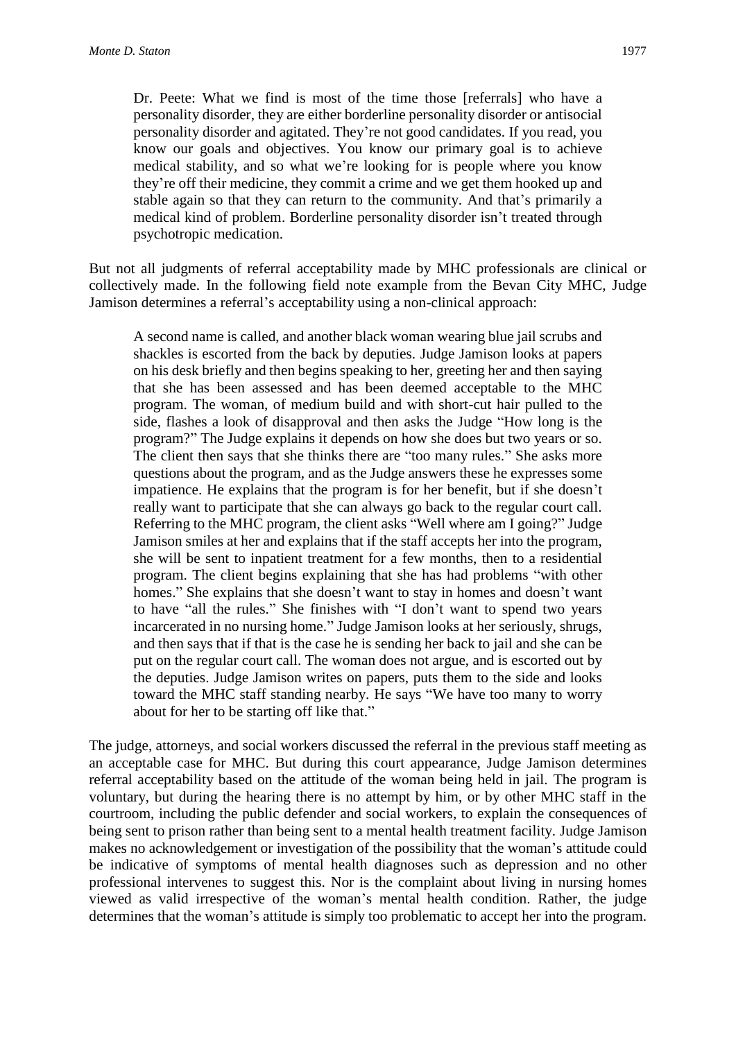Dr. Peete: What we find is most of the time those [referrals] who have a personality disorder, they are either borderline personality disorder or antisocial personality disorder and agitated. They're not good candidates. If you read, you know our goals and objectives. You know our primary goal is to achieve medical stability, and so what we're looking for is people where you know they're off their medicine, they commit a crime and we get them hooked up and stable again so that they can return to the community. And that's primarily a medical kind of problem. Borderline personality disorder isn't treated through psychotropic medication.

But not all judgments of referral acceptability made by MHC professionals are clinical or collectively made. In the following field note example from the Bevan City MHC, Judge Jamison determines a referral's acceptability using a non-clinical approach:

A second name is called, and another black woman wearing blue jail scrubs and shackles is escorted from the back by deputies. Judge Jamison looks at papers on his desk briefly and then begins speaking to her, greeting her and then saying that she has been assessed and has been deemed acceptable to the MHC program. The woman, of medium build and with short-cut hair pulled to the side, flashes a look of disapproval and then asks the Judge "How long is the program?" The Judge explains it depends on how she does but two years or so. The client then says that she thinks there are "too many rules." She asks more questions about the program, and as the Judge answers these he expresses some impatience. He explains that the program is for her benefit, but if she doesn't really want to participate that she can always go back to the regular court call. Referring to the MHC program, the client asks "Well where am I going?" Judge Jamison smiles at her and explains that if the staff accepts her into the program, she will be sent to inpatient treatment for a few months, then to a residential program. The client begins explaining that she has had problems "with other homes." She explains that she doesn't want to stay in homes and doesn't want to have "all the rules." She finishes with "I don't want to spend two years incarcerated in no nursing home." Judge Jamison looks at her seriously, shrugs, and then says that if that is the case he is sending her back to jail and she can be put on the regular court call. The woman does not argue, and is escorted out by the deputies. Judge Jamison writes on papers, puts them to the side and looks toward the MHC staff standing nearby. He says "We have too many to worry about for her to be starting off like that."

The judge, attorneys, and social workers discussed the referral in the previous staff meeting as an acceptable case for MHC. But during this court appearance, Judge Jamison determines referral acceptability based on the attitude of the woman being held in jail. The program is voluntary, but during the hearing there is no attempt by him, or by other MHC staff in the courtroom, including the public defender and social workers, to explain the consequences of being sent to prison rather than being sent to a mental health treatment facility. Judge Jamison makes no acknowledgement or investigation of the possibility that the woman's attitude could be indicative of symptoms of mental health diagnoses such as depression and no other professional intervenes to suggest this. Nor is the complaint about living in nursing homes viewed as valid irrespective of the woman's mental health condition. Rather, the judge determines that the woman's attitude is simply too problematic to accept her into the program.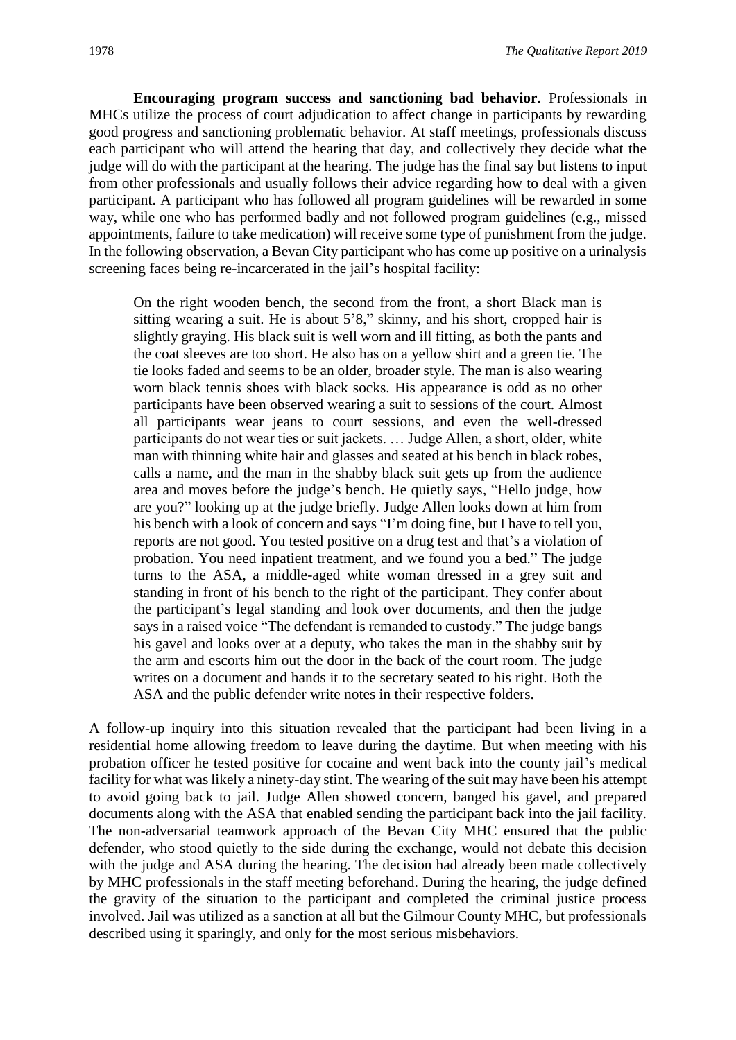**Encouraging program success and sanctioning bad behavior.** Professionals in MHCs utilize the process of court adjudication to affect change in participants by rewarding good progress and sanctioning problematic behavior. At staff meetings, professionals discuss each participant who will attend the hearing that day, and collectively they decide what the judge will do with the participant at the hearing. The judge has the final say but listens to input from other professionals and usually follows their advice regarding how to deal with a given participant. A participant who has followed all program guidelines will be rewarded in some way, while one who has performed badly and not followed program guidelines (e.g., missed appointments, failure to take medication) will receive some type of punishment from the judge. In the following observation, a Bevan City participant who has come up positive on a urinalysis screening faces being re-incarcerated in the jail's hospital facility:

On the right wooden bench, the second from the front, a short Black man is sitting wearing a suit. He is about 5'8," skinny, and his short, cropped hair is slightly graying. His black suit is well worn and ill fitting, as both the pants and the coat sleeves are too short. He also has on a yellow shirt and a green tie. The tie looks faded and seems to be an older, broader style. The man is also wearing worn black tennis shoes with black socks. His appearance is odd as no other participants have been observed wearing a suit to sessions of the court. Almost all participants wear jeans to court sessions, and even the well-dressed participants do not wear ties or suit jackets. … Judge Allen, a short, older, white man with thinning white hair and glasses and seated at his bench in black robes, calls a name, and the man in the shabby black suit gets up from the audience area and moves before the judge's bench. He quietly says, "Hello judge, how are you?" looking up at the judge briefly. Judge Allen looks down at him from his bench with a look of concern and says "I'm doing fine, but I have to tell you, reports are not good. You tested positive on a drug test and that's a violation of probation. You need inpatient treatment, and we found you a bed." The judge turns to the ASA, a middle-aged white woman dressed in a grey suit and standing in front of his bench to the right of the participant. They confer about the participant's legal standing and look over documents, and then the judge says in a raised voice "The defendant is remanded to custody." The judge bangs his gavel and looks over at a deputy, who takes the man in the shabby suit by the arm and escorts him out the door in the back of the court room. The judge writes on a document and hands it to the secretary seated to his right. Both the ASA and the public defender write notes in their respective folders.

A follow-up inquiry into this situation revealed that the participant had been living in a residential home allowing freedom to leave during the daytime. But when meeting with his probation officer he tested positive for cocaine and went back into the county jail's medical facility for what was likely a ninety-day stint. The wearing of the suit may have been his attempt to avoid going back to jail. Judge Allen showed concern, banged his gavel, and prepared documents along with the ASA that enabled sending the participant back into the jail facility. The non-adversarial teamwork approach of the Bevan City MHC ensured that the public defender, who stood quietly to the side during the exchange, would not debate this decision with the judge and ASA during the hearing. The decision had already been made collectively by MHC professionals in the staff meeting beforehand. During the hearing, the judge defined the gravity of the situation to the participant and completed the criminal justice process involved. Jail was utilized as a sanction at all but the Gilmour County MHC, but professionals described using it sparingly, and only for the most serious misbehaviors.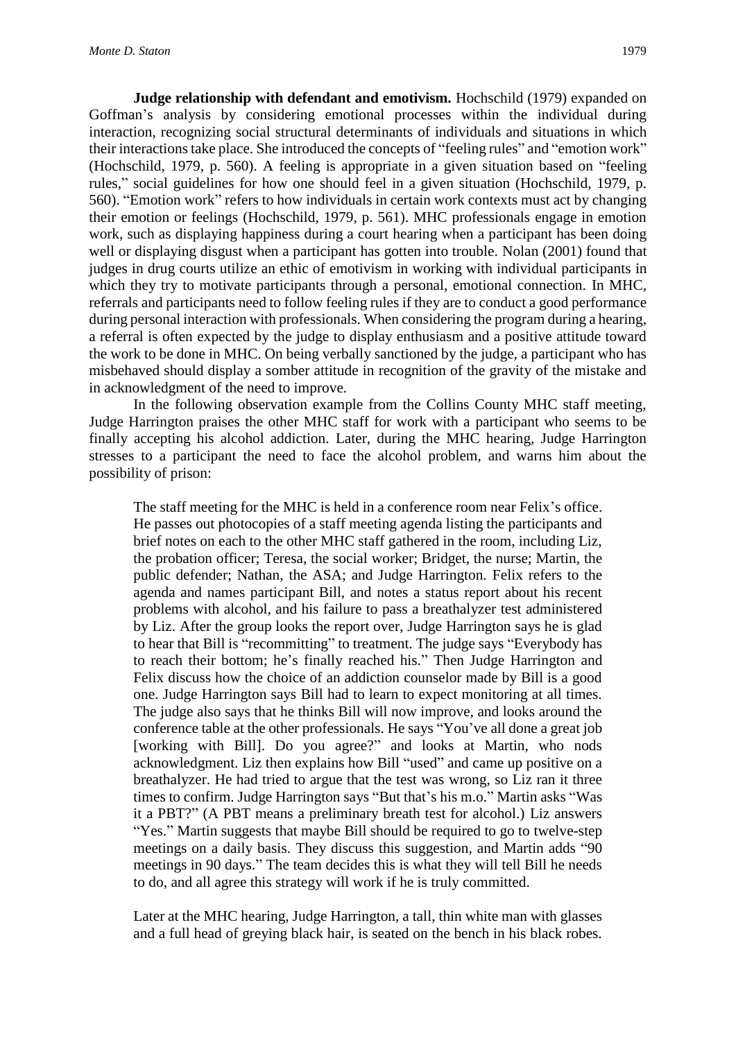**Judge relationship with defendant and emotivism.** Hochschild (1979) expanded on Goffman's analysis by considering emotional processes within the individual during interaction, recognizing social structural determinants of individuals and situations in which their interactions take place. She introduced the concepts of "feeling rules" and "emotion work" (Hochschild, 1979, p. 560). A feeling is appropriate in a given situation based on "feeling rules," social guidelines for how one should feel in a given situation (Hochschild, 1979, p. 560). "Emotion work" refers to how individuals in certain work contexts must act by changing their emotion or feelings (Hochschild, 1979, p. 561). MHC professionals engage in emotion work, such as displaying happiness during a court hearing when a participant has been doing well or displaying disgust when a participant has gotten into trouble. Nolan (2001) found that judges in drug courts utilize an ethic of emotivism in working with individual participants in which they try to motivate participants through a personal, emotional connection. In MHC, referrals and participants need to follow feeling rules if they are to conduct a good performance during personal interaction with professionals. When considering the program during a hearing, a referral is often expected by the judge to display enthusiasm and a positive attitude toward the work to be done in MHC. On being verbally sanctioned by the judge, a participant who has misbehaved should display a somber attitude in recognition of the gravity of the mistake and in acknowledgment of the need to improve.

In the following observation example from the Collins County MHC staff meeting, Judge Harrington praises the other MHC staff for work with a participant who seems to be finally accepting his alcohol addiction. Later, during the MHC hearing, Judge Harrington stresses to a participant the need to face the alcohol problem, and warns him about the possibility of prison:

The staff meeting for the MHC is held in a conference room near Felix's office. He passes out photocopies of a staff meeting agenda listing the participants and brief notes on each to the other MHC staff gathered in the room, including Liz, the probation officer; Teresa, the social worker; Bridget, the nurse; Martin, the public defender; Nathan, the ASA; and Judge Harrington. Felix refers to the agenda and names participant Bill, and notes a status report about his recent problems with alcohol, and his failure to pass a breathalyzer test administered by Liz. After the group looks the report over, Judge Harrington says he is glad to hear that Bill is "recommitting" to treatment. The judge says "Everybody has to reach their bottom; he's finally reached his." Then Judge Harrington and Felix discuss how the choice of an addiction counselor made by Bill is a good one. Judge Harrington says Bill had to learn to expect monitoring at all times. The judge also says that he thinks Bill will now improve, and looks around the conference table at the other professionals. He says "You've all done a great job [working with Bill]. Do you agree?" and looks at Martin, who nods acknowledgment. Liz then explains how Bill "used" and came up positive on a breathalyzer. He had tried to argue that the test was wrong, so Liz ran it three times to confirm. Judge Harrington says "But that's his m.o." Martin asks "Was it a PBT?" (A PBT means a preliminary breath test for alcohol.) Liz answers "Yes." Martin suggests that maybe Bill should be required to go to twelve-step meetings on a daily basis. They discuss this suggestion, and Martin adds "90 meetings in 90 days." The team decides this is what they will tell Bill he needs to do, and all agree this strategy will work if he is truly committed.

Later at the MHC hearing, Judge Harrington, a tall, thin white man with glasses and a full head of greying black hair, is seated on the bench in his black robes.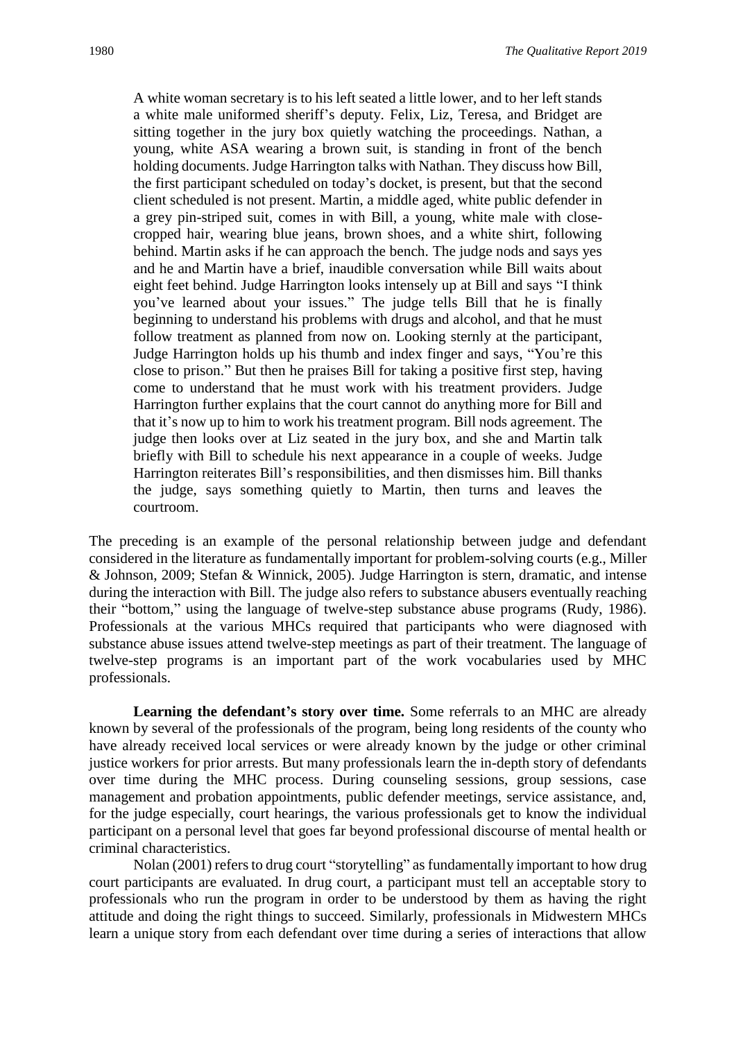A white woman secretary is to his left seated a little lower, and to her left stands a white male uniformed sheriff's deputy. Felix, Liz, Teresa, and Bridget are sitting together in the jury box quietly watching the proceedings. Nathan, a young, white ASA wearing a brown suit, is standing in front of the bench holding documents. Judge Harrington talks with Nathan. They discuss how Bill, the first participant scheduled on today's docket, is present, but that the second client scheduled is not present. Martin, a middle aged, white public defender in a grey pin-striped suit, comes in with Bill, a young, white male with closecropped hair, wearing blue jeans, brown shoes, and a white shirt, following behind. Martin asks if he can approach the bench. The judge nods and says yes and he and Martin have a brief, inaudible conversation while Bill waits about eight feet behind. Judge Harrington looks intensely up at Bill and says "I think you've learned about your issues." The judge tells Bill that he is finally beginning to understand his problems with drugs and alcohol, and that he must follow treatment as planned from now on. Looking sternly at the participant, Judge Harrington holds up his thumb and index finger and says, "You're this close to prison." But then he praises Bill for taking a positive first step, having come to understand that he must work with his treatment providers. Judge Harrington further explains that the court cannot do anything more for Bill and that it's now up to him to work his treatment program. Bill nods agreement. The judge then looks over at Liz seated in the jury box, and she and Martin talk briefly with Bill to schedule his next appearance in a couple of weeks. Judge Harrington reiterates Bill's responsibilities, and then dismisses him. Bill thanks the judge, says something quietly to Martin, then turns and leaves the courtroom.

The preceding is an example of the personal relationship between judge and defendant considered in the literature as fundamentally important for problem-solving courts (e.g., Miller & Johnson, 2009; Stefan & Winnick, 2005). Judge Harrington is stern, dramatic, and intense during the interaction with Bill. The judge also refers to substance abusers eventually reaching their "bottom," using the language of twelve-step substance abuse programs (Rudy, 1986). Professionals at the various MHCs required that participants who were diagnosed with substance abuse issues attend twelve-step meetings as part of their treatment. The language of twelve-step programs is an important part of the work vocabularies used by MHC professionals.

**Learning the defendant's story over time.** Some referrals to an MHC are already known by several of the professionals of the program, being long residents of the county who have already received local services or were already known by the judge or other criminal justice workers for prior arrests. But many professionals learn the in-depth story of defendants over time during the MHC process. During counseling sessions, group sessions, case management and probation appointments, public defender meetings, service assistance, and, for the judge especially, court hearings, the various professionals get to know the individual participant on a personal level that goes far beyond professional discourse of mental health or criminal characteristics.

Nolan (2001) refers to drug court "storytelling" as fundamentally important to how drug court participants are evaluated. In drug court, a participant must tell an acceptable story to professionals who run the program in order to be understood by them as having the right attitude and doing the right things to succeed. Similarly, professionals in Midwestern MHCs learn a unique story from each defendant over time during a series of interactions that allow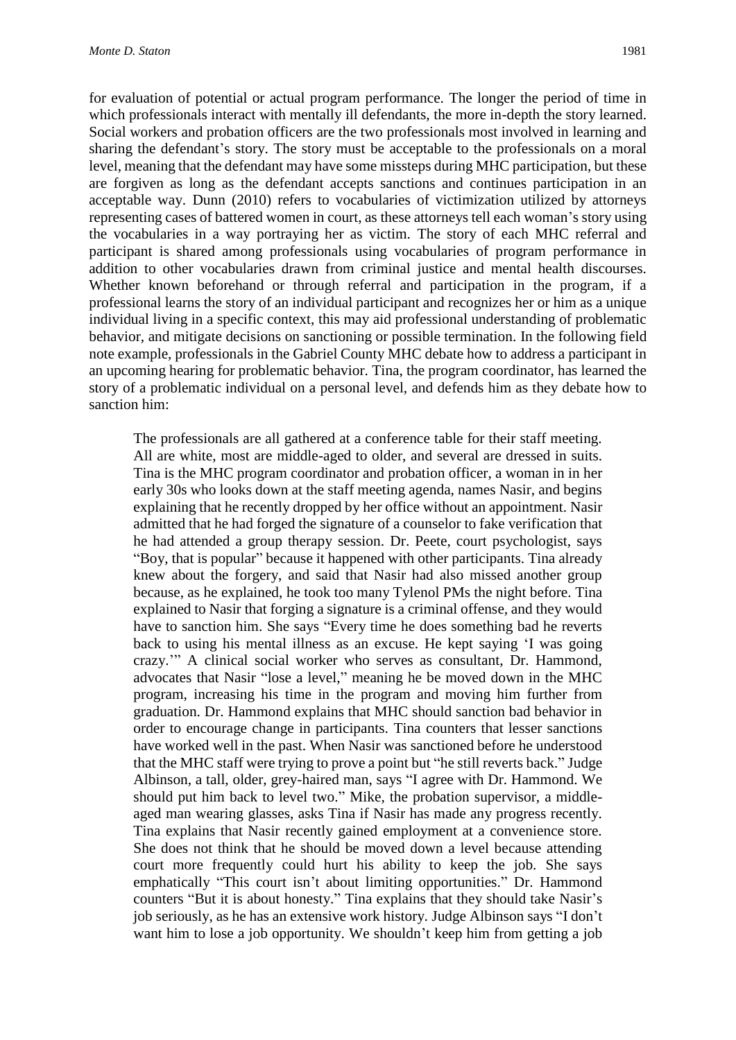for evaluation of potential or actual program performance. The longer the period of time in which professionals interact with mentally ill defendants, the more in-depth the story learned. Social workers and probation officers are the two professionals most involved in learning and sharing the defendant's story. The story must be acceptable to the professionals on a moral level, meaning that the defendant may have some missteps during MHC participation, but these are forgiven as long as the defendant accepts sanctions and continues participation in an acceptable way. Dunn (2010) refers to vocabularies of victimization utilized by attorneys representing cases of battered women in court, as these attorneys tell each woman's story using the vocabularies in a way portraying her as victim. The story of each MHC referral and participant is shared among professionals using vocabularies of program performance in addition to other vocabularies drawn from criminal justice and mental health discourses. Whether known beforehand or through referral and participation in the program, if a professional learns the story of an individual participant and recognizes her or him as a unique individual living in a specific context, this may aid professional understanding of problematic behavior, and mitigate decisions on sanctioning or possible termination. In the following field note example, professionals in the Gabriel County MHC debate how to address a participant in an upcoming hearing for problematic behavior. Tina, the program coordinator, has learned the story of a problematic individual on a personal level, and defends him as they debate how to sanction him:

The professionals are all gathered at a conference table for their staff meeting. All are white, most are middle-aged to older, and several are dressed in suits. Tina is the MHC program coordinator and probation officer, a woman in in her early 30s who looks down at the staff meeting agenda, names Nasir, and begins explaining that he recently dropped by her office without an appointment. Nasir admitted that he had forged the signature of a counselor to fake verification that he had attended a group therapy session. Dr. Peete, court psychologist, says "Boy, that is popular" because it happened with other participants. Tina already knew about the forgery, and said that Nasir had also missed another group because, as he explained, he took too many Tylenol PMs the night before. Tina explained to Nasir that forging a signature is a criminal offense, and they would have to sanction him. She says "Every time he does something bad he reverts back to using his mental illness as an excuse. He kept saying 'I was going crazy.'" A clinical social worker who serves as consultant, Dr. Hammond, advocates that Nasir "lose a level," meaning he be moved down in the MHC program, increasing his time in the program and moving him further from graduation. Dr. Hammond explains that MHC should sanction bad behavior in order to encourage change in participants. Tina counters that lesser sanctions have worked well in the past. When Nasir was sanctioned before he understood that the MHC staff were trying to prove a point but "he still reverts back." Judge Albinson, a tall, older, grey-haired man, says "I agree with Dr. Hammond. We should put him back to level two." Mike, the probation supervisor, a middleaged man wearing glasses, asks Tina if Nasir has made any progress recently. Tina explains that Nasir recently gained employment at a convenience store. She does not think that he should be moved down a level because attending court more frequently could hurt his ability to keep the job. She says emphatically "This court isn't about limiting opportunities." Dr. Hammond counters "But it is about honesty." Tina explains that they should take Nasir's job seriously, as he has an extensive work history. Judge Albinson says "I don't want him to lose a job opportunity. We shouldn't keep him from getting a job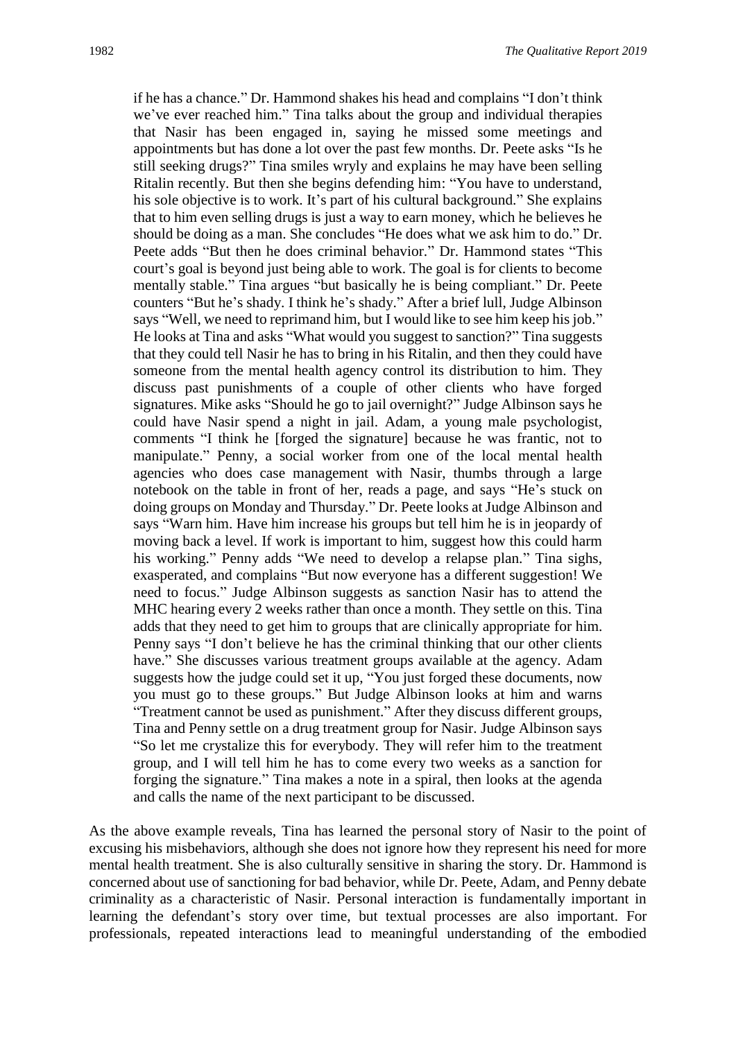if he has a chance." Dr. Hammond shakes his head and complains "I don't think we've ever reached him." Tina talks about the group and individual therapies that Nasir has been engaged in, saying he missed some meetings and appointments but has done a lot over the past few months. Dr. Peete asks "Is he still seeking drugs?" Tina smiles wryly and explains he may have been selling Ritalin recently. But then she begins defending him: "You have to understand, his sole objective is to work. It's part of his cultural background." She explains that to him even selling drugs is just a way to earn money, which he believes he should be doing as a man. She concludes "He does what we ask him to do." Dr. Peete adds "But then he does criminal behavior." Dr. Hammond states "This court's goal is beyond just being able to work. The goal is for clients to become mentally stable." Tina argues "but basically he is being compliant." Dr. Peete counters "But he's shady. I think he's shady." After a brief lull, Judge Albinson says "Well, we need to reprimand him, but I would like to see him keep his job." He looks at Tina and asks "What would you suggest to sanction?" Tina suggests that they could tell Nasir he has to bring in his Ritalin, and then they could have someone from the mental health agency control its distribution to him. They discuss past punishments of a couple of other clients who have forged signatures. Mike asks "Should he go to jail overnight?" Judge Albinson says he could have Nasir spend a night in jail. Adam, a young male psychologist, comments "I think he [forged the signature] because he was frantic, not to manipulate." Penny, a social worker from one of the local mental health agencies who does case management with Nasir, thumbs through a large notebook on the table in front of her, reads a page, and says "He's stuck on doing groups on Monday and Thursday." Dr. Peete looks at Judge Albinson and says "Warn him. Have him increase his groups but tell him he is in jeopardy of moving back a level. If work is important to him, suggest how this could harm his working." Penny adds "We need to develop a relapse plan." Tina sighs, exasperated, and complains "But now everyone has a different suggestion! We need to focus." Judge Albinson suggests as sanction Nasir has to attend the MHC hearing every 2 weeks rather than once a month. They settle on this. Tina adds that they need to get him to groups that are clinically appropriate for him. Penny says "I don't believe he has the criminal thinking that our other clients have." She discusses various treatment groups available at the agency. Adam suggests how the judge could set it up, "You just forged these documents, now you must go to these groups." But Judge Albinson looks at him and warns "Treatment cannot be used as punishment." After they discuss different groups, Tina and Penny settle on a drug treatment group for Nasir. Judge Albinson says "So let me crystalize this for everybody. They will refer him to the treatment group, and I will tell him he has to come every two weeks as a sanction for forging the signature." Tina makes a note in a spiral, then looks at the agenda and calls the name of the next participant to be discussed.

As the above example reveals, Tina has learned the personal story of Nasir to the point of excusing his misbehaviors, although she does not ignore how they represent his need for more mental health treatment. She is also culturally sensitive in sharing the story. Dr. Hammond is concerned about use of sanctioning for bad behavior, while Dr. Peete, Adam, and Penny debate criminality as a characteristic of Nasir. Personal interaction is fundamentally important in learning the defendant's story over time, but textual processes are also important. For professionals, repeated interactions lead to meaningful understanding of the embodied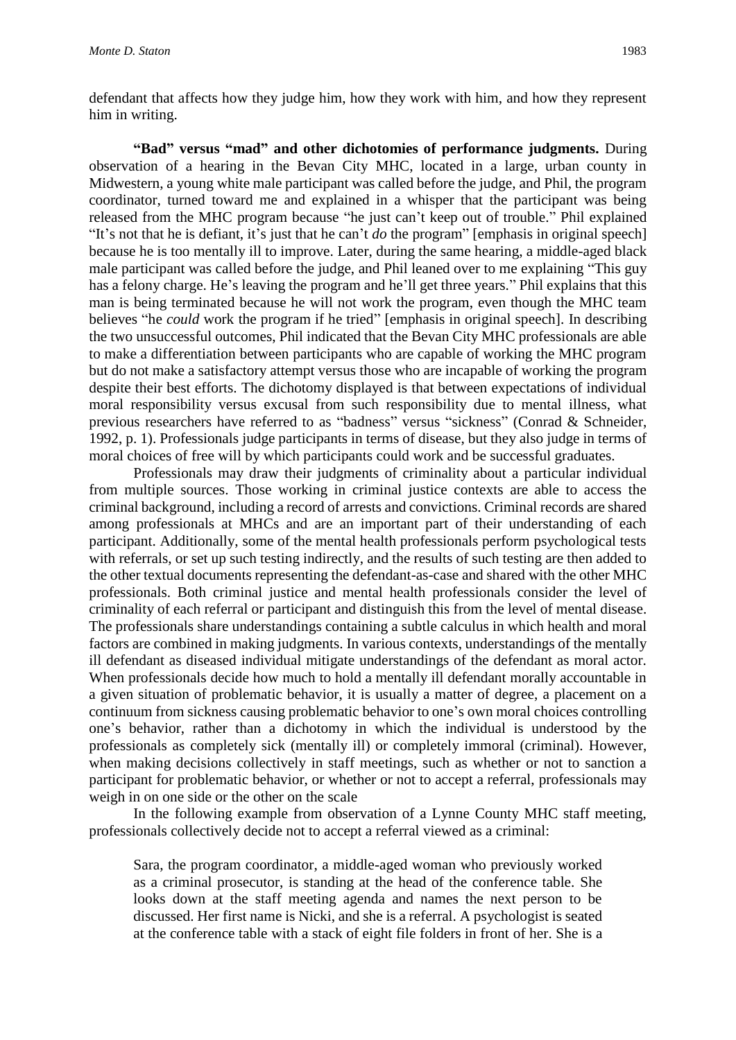defendant that affects how they judge him, how they work with him, and how they represent him in writing.

**"Bad" versus "mad" and other dichotomies of performance judgments.** During observation of a hearing in the Bevan City MHC, located in a large, urban county in Midwestern, a young white male participant was called before the judge, and Phil, the program coordinator, turned toward me and explained in a whisper that the participant was being released from the MHC program because "he just can't keep out of trouble." Phil explained "It's not that he is defiant, it's just that he can't *do* the program" [emphasis in original speech] because he is too mentally ill to improve. Later, during the same hearing, a middle-aged black male participant was called before the judge, and Phil leaned over to me explaining "This guy has a felony charge. He's leaving the program and he'll get three years." Phil explains that this man is being terminated because he will not work the program, even though the MHC team believes "he *could* work the program if he tried" [emphasis in original speech]. In describing the two unsuccessful outcomes, Phil indicated that the Bevan City MHC professionals are able to make a differentiation between participants who are capable of working the MHC program but do not make a satisfactory attempt versus those who are incapable of working the program despite their best efforts. The dichotomy displayed is that between expectations of individual moral responsibility versus excusal from such responsibility due to mental illness, what previous researchers have referred to as "badness" versus "sickness" (Conrad & Schneider, 1992, p. 1). Professionals judge participants in terms of disease, but they also judge in terms of moral choices of free will by which participants could work and be successful graduates.

Professionals may draw their judgments of criminality about a particular individual from multiple sources. Those working in criminal justice contexts are able to access the criminal background, including a record of arrests and convictions. Criminal records are shared among professionals at MHCs and are an important part of their understanding of each participant. Additionally, some of the mental health professionals perform psychological tests with referrals, or set up such testing indirectly, and the results of such testing are then added to the other textual documents representing the defendant-as-case and shared with the other MHC professionals. Both criminal justice and mental health professionals consider the level of criminality of each referral or participant and distinguish this from the level of mental disease. The professionals share understandings containing a subtle calculus in which health and moral factors are combined in making judgments. In various contexts, understandings of the mentally ill defendant as diseased individual mitigate understandings of the defendant as moral actor. When professionals decide how much to hold a mentally ill defendant morally accountable in a given situation of problematic behavior, it is usually a matter of degree, a placement on a continuum from sickness causing problematic behavior to one's own moral choices controlling one's behavior, rather than a dichotomy in which the individual is understood by the professionals as completely sick (mentally ill) or completely immoral (criminal). However, when making decisions collectively in staff meetings, such as whether or not to sanction a participant for problematic behavior, or whether or not to accept a referral, professionals may weigh in on one side or the other on the scale

In the following example from observation of a Lynne County MHC staff meeting, professionals collectively decide not to accept a referral viewed as a criminal:

Sara, the program coordinator, a middle-aged woman who previously worked as a criminal prosecutor, is standing at the head of the conference table. She looks down at the staff meeting agenda and names the next person to be discussed. Her first name is Nicki, and she is a referral. A psychologist is seated at the conference table with a stack of eight file folders in front of her. She is a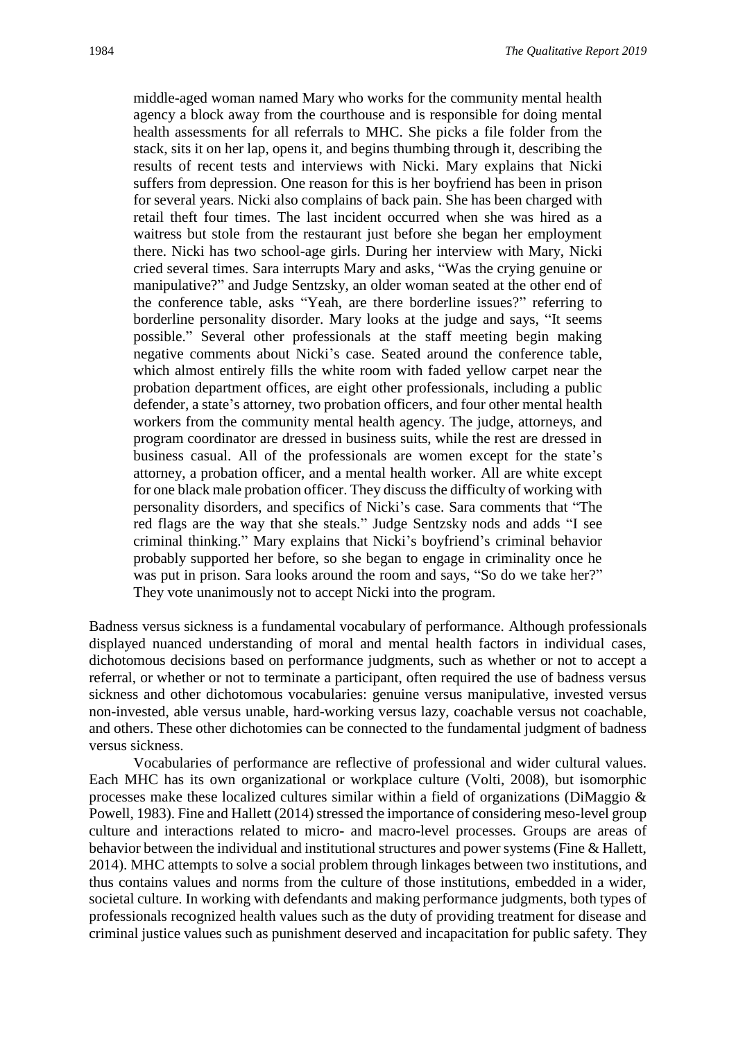middle-aged woman named Mary who works for the community mental health agency a block away from the courthouse and is responsible for doing mental health assessments for all referrals to MHC. She picks a file folder from the stack, sits it on her lap, opens it, and begins thumbing through it, describing the results of recent tests and interviews with Nicki. Mary explains that Nicki suffers from depression. One reason for this is her boyfriend has been in prison for several years. Nicki also complains of back pain. She has been charged with retail theft four times. The last incident occurred when she was hired as a waitress but stole from the restaurant just before she began her employment there. Nicki has two school-age girls. During her interview with Mary, Nicki cried several times. Sara interrupts Mary and asks, "Was the crying genuine or manipulative?" and Judge Sentzsky, an older woman seated at the other end of the conference table, asks "Yeah, are there borderline issues?" referring to borderline personality disorder. Mary looks at the judge and says, "It seems possible." Several other professionals at the staff meeting begin making negative comments about Nicki's case. Seated around the conference table, which almost entirely fills the white room with faded yellow carpet near the probation department offices, are eight other professionals, including a public defender, a state's attorney, two probation officers, and four other mental health workers from the community mental health agency. The judge, attorneys, and program coordinator are dressed in business suits, while the rest are dressed in business casual. All of the professionals are women except for the state's attorney, a probation officer, and a mental health worker. All are white except for one black male probation officer. They discuss the difficulty of working with personality disorders, and specifics of Nicki's case. Sara comments that "The red flags are the way that she steals." Judge Sentzsky nods and adds "I see criminal thinking." Mary explains that Nicki's boyfriend's criminal behavior probably supported her before, so she began to engage in criminality once he was put in prison. Sara looks around the room and says, "So do we take her?" They vote unanimously not to accept Nicki into the program.

Badness versus sickness is a fundamental vocabulary of performance. Although professionals displayed nuanced understanding of moral and mental health factors in individual cases, dichotomous decisions based on performance judgments, such as whether or not to accept a referral, or whether or not to terminate a participant, often required the use of badness versus sickness and other dichotomous vocabularies: genuine versus manipulative, invested versus non-invested, able versus unable, hard-working versus lazy, coachable versus not coachable, and others. These other dichotomies can be connected to the fundamental judgment of badness versus sickness.

Vocabularies of performance are reflective of professional and wider cultural values. Each MHC has its own organizational or workplace culture (Volti, 2008), but isomorphic processes make these localized cultures similar within a field of organizations (DiMaggio & Powell, 1983). Fine and Hallett (2014) stressed the importance of considering meso-level group culture and interactions related to micro- and macro-level processes. Groups are areas of behavior between the individual and institutional structures and power systems (Fine & Hallett, 2014). MHC attempts to solve a social problem through linkages between two institutions, and thus contains values and norms from the culture of those institutions, embedded in a wider, societal culture. In working with defendants and making performance judgments, both types of professionals recognized health values such as the duty of providing treatment for disease and criminal justice values such as punishment deserved and incapacitation for public safety. They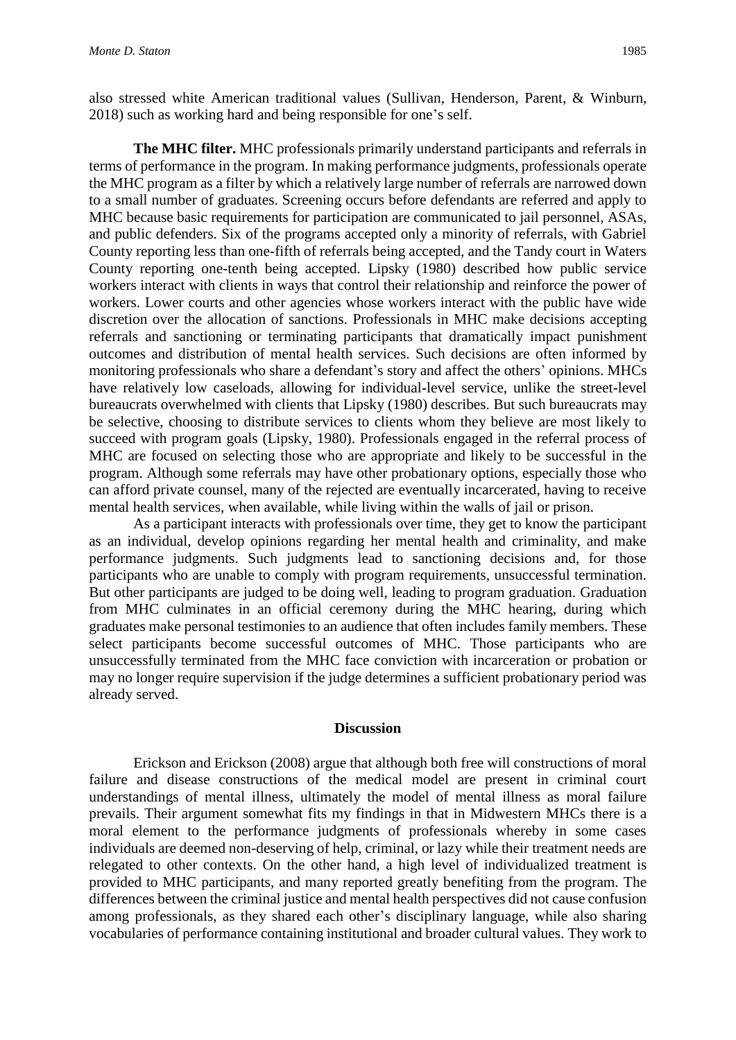also stressed white American traditional values (Sullivan, Henderson, Parent, & Winburn, 2018) such as working hard and being responsible for one's self.

**The MHC filter.** MHC professionals primarily understand participants and referrals in terms of performance in the program. In making performance judgments, professionals operate the MHC program as a filter by which a relatively large number of referrals are narrowed down to a small number of graduates. Screening occurs before defendants are referred and apply to MHC because basic requirements for participation are communicated to jail personnel, ASAs, and public defenders. Six of the programs accepted only a minority of referrals, with Gabriel County reporting less than one-fifth of referrals being accepted, and the Tandy court in Waters County reporting one-tenth being accepted. Lipsky (1980) described how public service workers interact with clients in ways that control their relationship and reinforce the power of workers. Lower courts and other agencies whose workers interact with the public have wide discretion over the allocation of sanctions. Professionals in MHC make decisions accepting referrals and sanctioning or terminating participants that dramatically impact punishment outcomes and distribution of mental health services. Such decisions are often informed by monitoring professionals who share a defendant's story and affect the others' opinions. MHCs have relatively low caseloads, allowing for individual-level service, unlike the street-level bureaucrats overwhelmed with clients that Lipsky (1980) describes. But such bureaucrats may be selective, choosing to distribute services to clients whom they believe are most likely to succeed with program goals (Lipsky, 1980). Professionals engaged in the referral process of MHC are focused on selecting those who are appropriate and likely to be successful in the program. Although some referrals may have other probationary options, especially those who can afford private counsel, many of the rejected are eventually incarcerated, having to receive mental health services, when available, while living within the walls of jail or prison.

As a participant interacts with professionals over time, they get to know the participant as an individual, develop opinions regarding her mental health and criminality, and make performance judgments. Such judgments lead to sanctioning decisions and, for those participants who are unable to comply with program requirements, unsuccessful termination. But other participants are judged to be doing well, leading to program graduation. Graduation from MHC culminates in an official ceremony during the MHC hearing, during which graduates make personal testimonies to an audience that often includes family members. These select participants become successful outcomes of MHC. Those participants who are unsuccessfully terminated from the MHC face conviction with incarceration or probation or may no longer require supervision if the judge determines a sufficient probationary period was already served.

#### **Discussion**

Erickson and Erickson (2008) argue that although both free will constructions of moral failure and disease constructions of the medical model are present in criminal court understandings of mental illness, ultimately the model of mental illness as moral failure prevails. Their argument somewhat fits my findings in that in Midwestern MHCs there is a moral element to the performance judgments of professionals whereby in some cases individuals are deemed non-deserving of help, criminal, or lazy while their treatment needs are relegated to other contexts. On the other hand, a high level of individualized treatment is provided to MHC participants, and many reported greatly benefiting from the program. The differences between the criminal justice and mental health perspectives did not cause confusion among professionals, as they shared each other's disciplinary language, while also sharing vocabularies of performance containing institutional and broader cultural values. They work to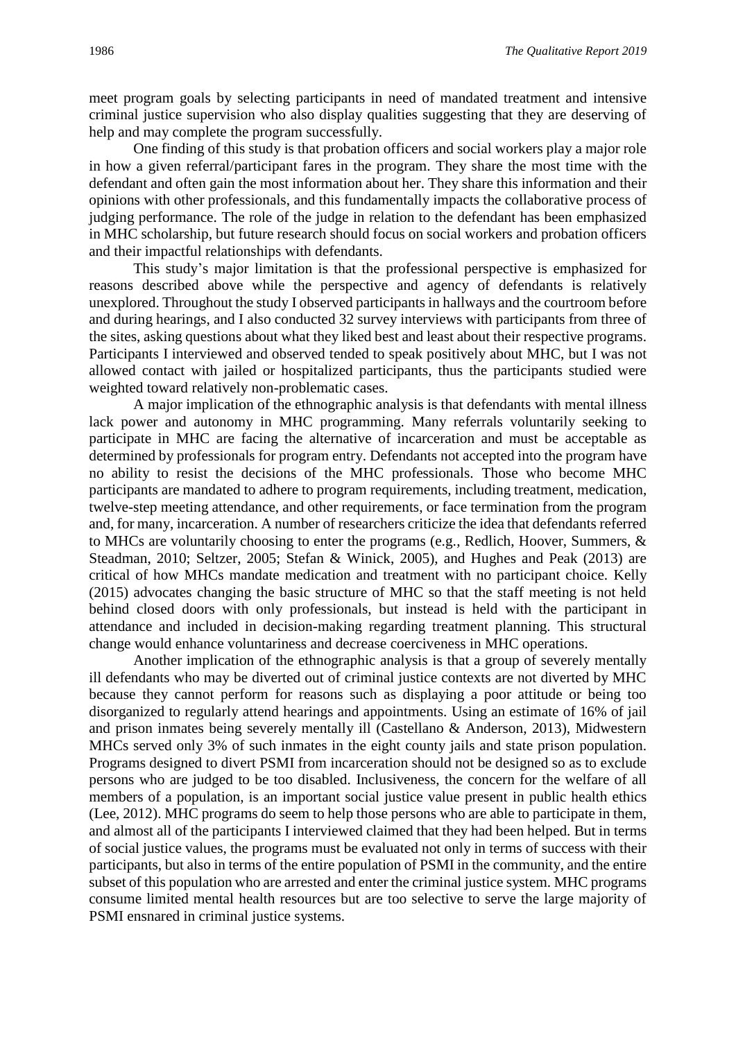meet program goals by selecting participants in need of mandated treatment and intensive criminal justice supervision who also display qualities suggesting that they are deserving of help and may complete the program successfully.

One finding of this study is that probation officers and social workers play a major role in how a given referral/participant fares in the program. They share the most time with the defendant and often gain the most information about her. They share this information and their opinions with other professionals, and this fundamentally impacts the collaborative process of judging performance. The role of the judge in relation to the defendant has been emphasized in MHC scholarship, but future research should focus on social workers and probation officers and their impactful relationships with defendants.

This study's major limitation is that the professional perspective is emphasized for reasons described above while the perspective and agency of defendants is relatively unexplored. Throughout the study I observed participants in hallways and the courtroom before and during hearings, and I also conducted 32 survey interviews with participants from three of the sites, asking questions about what they liked best and least about their respective programs. Participants I interviewed and observed tended to speak positively about MHC, but I was not allowed contact with jailed or hospitalized participants, thus the participants studied were weighted toward relatively non-problematic cases.

A major implication of the ethnographic analysis is that defendants with mental illness lack power and autonomy in MHC programming. Many referrals voluntarily seeking to participate in MHC are facing the alternative of incarceration and must be acceptable as determined by professionals for program entry. Defendants not accepted into the program have no ability to resist the decisions of the MHC professionals. Those who become MHC participants are mandated to adhere to program requirements, including treatment, medication, twelve-step meeting attendance, and other requirements, or face termination from the program and, for many, incarceration. A number of researchers criticize the idea that defendants referred to MHCs are voluntarily choosing to enter the programs (e.g., Redlich, Hoover, Summers, & Steadman, 2010; Seltzer, 2005; Stefan & Winick, 2005), and Hughes and Peak (2013) are critical of how MHCs mandate medication and treatment with no participant choice. Kelly (2015) advocates changing the basic structure of MHC so that the staff meeting is not held behind closed doors with only professionals, but instead is held with the participant in attendance and included in decision-making regarding treatment planning. This structural change would enhance voluntariness and decrease coerciveness in MHC operations.

Another implication of the ethnographic analysis is that a group of severely mentally ill defendants who may be diverted out of criminal justice contexts are not diverted by MHC because they cannot perform for reasons such as displaying a poor attitude or being too disorganized to regularly attend hearings and appointments. Using an estimate of 16% of jail and prison inmates being severely mentally ill (Castellano & Anderson, 2013), Midwestern MHCs served only 3% of such inmates in the eight county jails and state prison population. Programs designed to divert PSMI from incarceration should not be designed so as to exclude persons who are judged to be too disabled. Inclusiveness, the concern for the welfare of all members of a population, is an important social justice value present in public health ethics (Lee, 2012). MHC programs do seem to help those persons who are able to participate in them, and almost all of the participants I interviewed claimed that they had been helped. But in terms of social justice values, the programs must be evaluated not only in terms of success with their participants, but also in terms of the entire population of PSMI in the community, and the entire subset of this population who are arrested and enter the criminal justice system. MHC programs consume limited mental health resources but are too selective to serve the large majority of PSMI ensnared in criminal justice systems.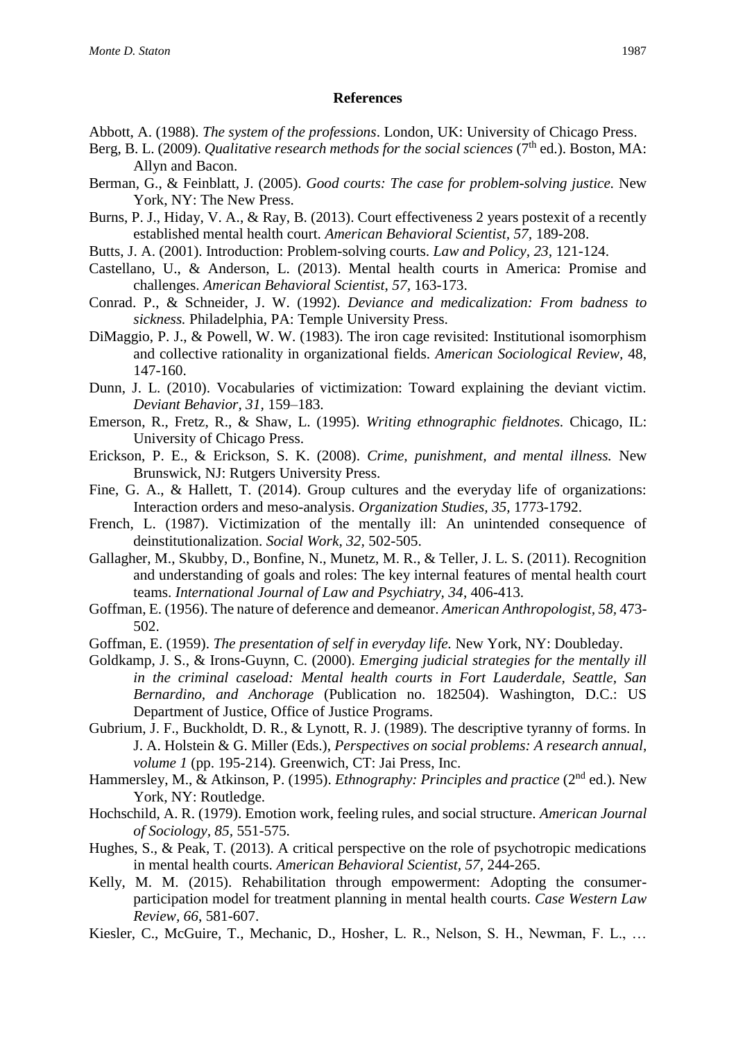#### **References**

- Abbott, A. (1988). *The system of the professions*. London, UK: University of Chicago Press.
- Berg, B. L. (2009). *Qualitative research methods for the social sciences* (7<sup>th</sup> ed.). Boston, MA: Allyn and Bacon.
- Berman, G., & Feinblatt, J. (2005). *Good courts: The case for problem-solving justice.* New York, NY: The New Press.
- Burns, P. J., Hiday, V. A., & Ray, B. (2013). Court effectiveness 2 years postexit of a recently established mental health court. *American Behavioral Scientist, 57,* 189-208.
- Butts, J. A. (2001). Introduction: Problem-solving courts. *Law and Policy, 23,* 121-124.
- Castellano, U., & Anderson, L. (2013). Mental health courts in America: Promise and challenges. *American Behavioral Scientist*, *57,* 163-173.
- Conrad. P., & Schneider, J. W. (1992). *Deviance and medicalization: From badness to sickness.* Philadelphia, PA: Temple University Press.
- DiMaggio, P. J., & Powell, W. W. (1983). The iron cage revisited: Institutional isomorphism and collective rationality in organizational fields. *American Sociological Review,* 48, 147-160.
- Dunn, J. L. (2010). Vocabularies of victimization: Toward explaining the deviant victim. *Deviant Behavior, 31,* 159–183.
- Emerson, R., Fretz, R., & Shaw, L. (1995). *Writing ethnographic fieldnotes.* Chicago, IL: University of Chicago Press.
- Erickson, P. E., & Erickson, S. K. (2008). *Crime, punishment, and mental illness.* New Brunswick, NJ: Rutgers University Press.
- Fine, G. A., & Hallett, T. (2014). Group cultures and the everyday life of organizations: Interaction orders and meso-analysis. *Organization Studies, 35,* 1773-1792.
- French, L. (1987). Victimization of the mentally ill: An unintended consequence of deinstitutionalization. *Social Work, 32,* 502-505.
- Gallagher, M., Skubby, D., Bonfine, N., Munetz, M. R., & Teller, J. L. S. (2011). Recognition and understanding of goals and roles: The key internal features of mental health court teams. *International Journal of Law and Psychiatry, 34*, 406-413.
- Goffman, E. (1956). The nature of deference and demeanor. *American Anthropologist, 58,* 473- 502.
- Goffman, E. (1959). *The presentation of self in everyday life.* New York, NY: Doubleday.
- Goldkamp, J. S., & Irons-Guynn, C. (2000). *Emerging judicial strategies for the mentally ill in the criminal caseload: Mental health courts in Fort Lauderdale, Seattle, San Bernardino, and Anchorage* (Publication no. 182504). Washington, D.C.: US Department of Justice, Office of Justice Programs.
- Gubrium, J. F., Buckholdt, D. R., & Lynott, R. J. (1989). The descriptive tyranny of forms. In J. A. Holstein & G. Miller (Eds.), *Perspectives on social problems: A research annual, volume 1* (pp. 195-214)*.* Greenwich, CT: Jai Press, Inc.
- Hammersley, M., & Atkinson, P. (1995). *Ethnography: Principles and practice* (2<sup>nd</sup> ed.). New York, NY: Routledge.
- Hochschild, A. R. (1979). Emotion work, feeling rules, and social structure. *American Journal of Sociology, 85,* 551-575.
- Hughes, S., & Peak, T. (2013). A critical perspective on the role of psychotropic medications in mental health courts. *American Behavioral Scientist, 57,* 244-265.
- Kelly, M. M. (2015). Rehabilitation through empowerment: Adopting the consumerparticipation model for treatment planning in mental health courts. *Case Western Law Review, 66*, 581-607.
- Kiesler, C., McGuire, T., Mechanic, D., Hosher, L. R., Nelson, S. H., Newman, F. L., …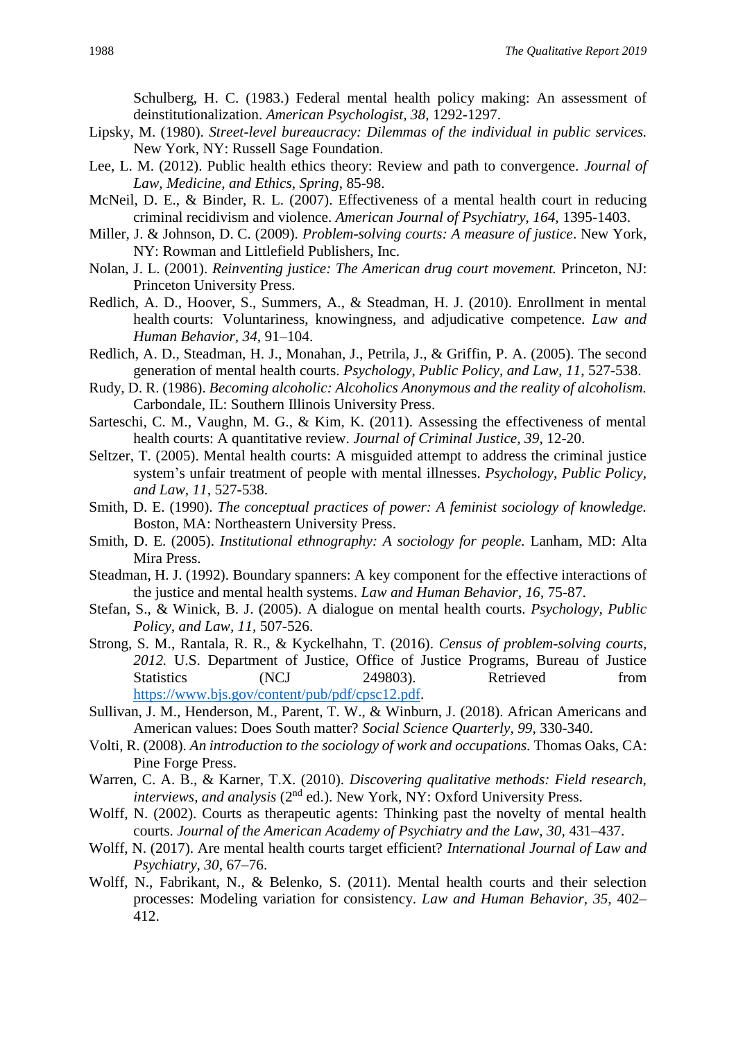Schulberg, H. C. (1983.) Federal mental health policy making: An assessment of deinstitutionalization. *American Psychologist, 38,* 1292-1297.

- Lipsky, M. (1980). *Street-level bureaucracy: Dilemmas of the individual in public services.* New York, NY: Russell Sage Foundation.
- Lee, L. M. (2012). Public health ethics theory: Review and path to convergence. *Journal of Law, Medicine, and Ethics, Spring*, 85-98.
- McNeil, D. E., & Binder, R. L. (2007). Effectiveness of a mental health court in reducing criminal recidivism and violence. *American Journal of Psychiatry, 164,* 1395-1403.
- Miller, J. & Johnson, D. C. (2009). *Problem-solving courts: A measure of justice*. New York, NY: Rowman and Littlefield Publishers, Inc.
- Nolan, J. L. (2001). *Reinventing justice: The American drug court movement.* Princeton, NJ: Princeton University Press.
- Redlich, A. D., Hoover, S., Summers, A., & Steadman, H. J. (2010). Enrollment in mental health courts: Voluntariness, knowingness, and adjudicative competence. *Law and Human Behavior, 34,* 91–104.
- Redlich, A. D., Steadman, H. J., Monahan, J., Petrila, J., & Griffin, P. A. (2005). The second generation of mental health courts. *Psychology, Public Policy, and Law, 11*, 527-538.
- Rudy, D. R. (1986). *Becoming alcoholic: Alcoholics Anonymous and the reality of alcoholism.* Carbondale, IL: Southern Illinois University Press.
- Sarteschi, C. M., Vaughn, M. G., & Kim, K. (2011). Assessing the effectiveness of mental health courts: A quantitative review. *Journal of Criminal Justice, 39,* 12-20.
- Seltzer, T. (2005). Mental health courts: A misguided attempt to address the criminal justice system's unfair treatment of people with mental illnesses. *Psychology, Public Policy, and Law, 11,* 527-538.
- Smith, D. E. (1990). *The conceptual practices of power: A feminist sociology of knowledge.* Boston, MA: Northeastern University Press.
- Smith, D. E. (2005). *Institutional ethnography: A sociology for people.* Lanham, MD: Alta Mira Press.
- Steadman, H. J. (1992). Boundary spanners: A key component for the effective interactions of the justice and mental health systems. *Law and Human Behavior, 16*, 75-87.
- Stefan, S., & Winick, B. J. (2005). A dialogue on mental health courts. *Psychology, Public Policy, and Law, 11,* 507-526.
- Strong, S. M., Rantala, R. R., & Kyckelhahn, T. (2016). *Census of problem-solving courts, 2012.* U.S. Department of Justice, Office of Justice Programs, Bureau of Justice Statistics (NCJ 249803). Retrieved from [https://www.bjs.gov/content/pub/pdf/cpsc12.pdf.](https://www.bjs.gov/content/pub/pdf/cpsc12.pdf)
- Sullivan, J. M., Henderson, M., Parent, T. W., & Winburn, J. (2018). African Americans and American values: Does South matter? *Social Science Quarterly, 99,* 330-340.
- Volti, R. (2008). *An introduction to the sociology of work and occupations.* Thomas Oaks, CA: Pine Forge Press.
- Warren, C. A. B., & Karner, T.X. (2010). *Discovering qualitative methods: Field research, interviews, and analysis* (2<sup>nd</sup> ed.). New York, NY: Oxford University Press.
- Wolff, N. (2002). Courts as therapeutic agents: Thinking past the novelty of mental health courts. *Journal of the American Academy of Psychiatry and the Law, 30,* 431–437.
- Wolff, N. (2017). Are mental health courts target efficient? *International Journal of Law and Psychiatry, 30,* 67–76.
- Wolff, N., Fabrikant, N., & Belenko, S. (2011). Mental health courts and their selection processes: Modeling variation for consistency. *Law and Human Behavior, 35,* 402– 412.